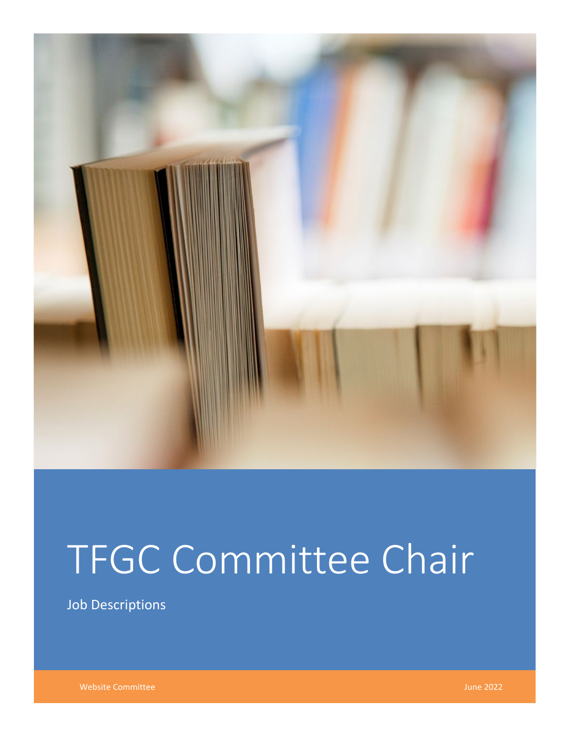

# TFGC Committee Chair

Job Descriptions

Website Committee **June 2022**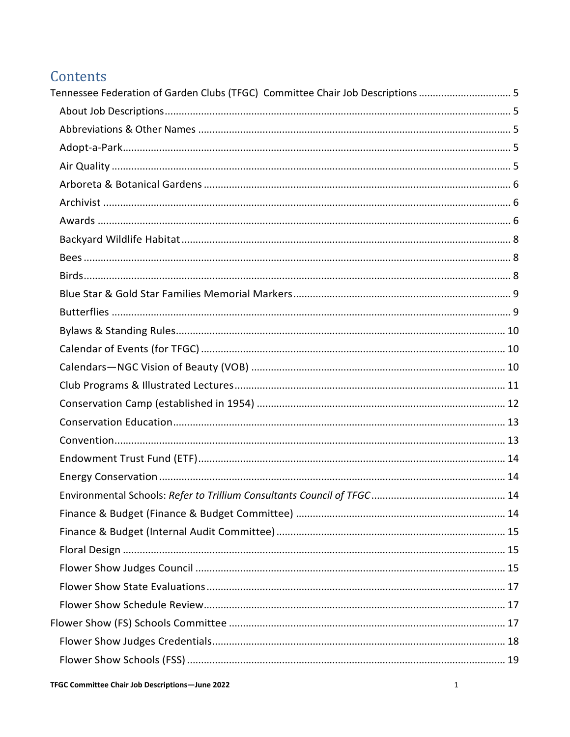# Contents

| Tennessee Federation of Garden Clubs (TFGC) Committee Chair Job Descriptions 5 |  |
|--------------------------------------------------------------------------------|--|
|                                                                                |  |
|                                                                                |  |
|                                                                                |  |
|                                                                                |  |
|                                                                                |  |
|                                                                                |  |
|                                                                                |  |
|                                                                                |  |
|                                                                                |  |
|                                                                                |  |
|                                                                                |  |
|                                                                                |  |
|                                                                                |  |
|                                                                                |  |
|                                                                                |  |
|                                                                                |  |
|                                                                                |  |
|                                                                                |  |
|                                                                                |  |
|                                                                                |  |
|                                                                                |  |
|                                                                                |  |
|                                                                                |  |
|                                                                                |  |
|                                                                                |  |
|                                                                                |  |
|                                                                                |  |
|                                                                                |  |
|                                                                                |  |
|                                                                                |  |
|                                                                                |  |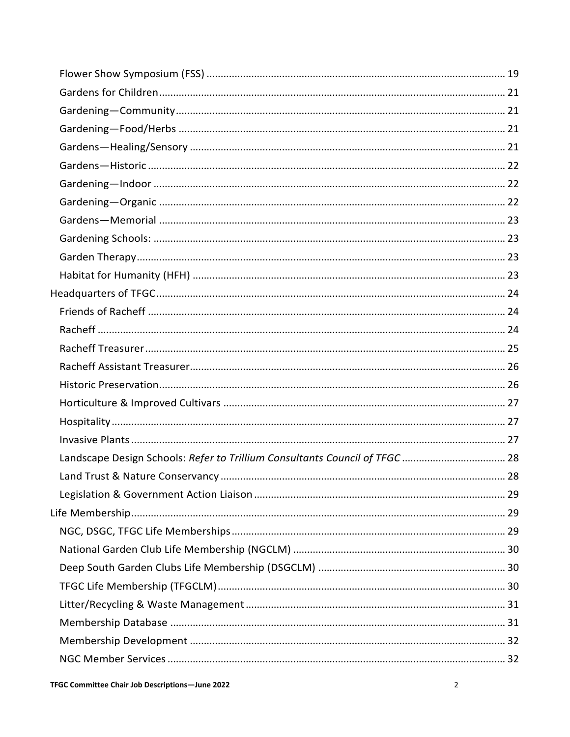| Landscape Design Schools: Refer to Trillium Consultants Council of TFGC  28 |  |
|-----------------------------------------------------------------------------|--|
|                                                                             |  |
|                                                                             |  |
|                                                                             |  |
|                                                                             |  |
|                                                                             |  |
|                                                                             |  |
|                                                                             |  |
|                                                                             |  |
|                                                                             |  |
|                                                                             |  |
|                                                                             |  |
|                                                                             |  |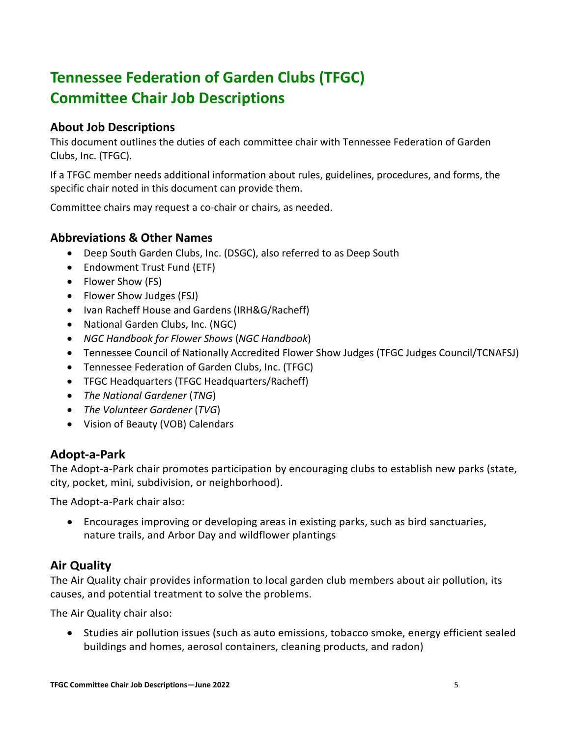# <span id="page-5-0"></span>**Tennessee Federation of Garden Clubs (TFGC) Committee Chair Job Descriptions**

## <span id="page-5-1"></span>**About Job Descriptions**

This document outlines the duties of each committee chair with Tennessee Federation of Garden Clubs, Inc. (TFGC).

If a TFGC member needs additional information about rules, guidelines, procedures, and forms, the specific chair noted in this document can provide them.

Committee chairs may request a co-chair or chairs, as needed.

## <span id="page-5-2"></span>**Abbreviations & Other Names**

- Deep South Garden Clubs, Inc. (DSGC), also referred to as Deep South
- Endowment Trust Fund (ETF)
- Flower Show (FS)
- Flower Show Judges (FSJ)
- Ivan Racheff House and Gardens (IRH&G/Racheff)
- National Garden Clubs, Inc. (NGC)
- *NGC Handbook for Flower Shows* (*NGC Handbook*)
- Tennessee Council of Nationally Accredited Flower Show Judges (TFGC Judges Council/TCNAFSJ)
- Tennessee Federation of Garden Clubs, Inc. (TFGC)
- TFGC Headquarters (TFGC Headquarters/Racheff)
- *The National Gardener* (*TNG*)
- *The Volunteer Gardener* (*TVG*)
- Vision of Beauty (VOB) Calendars

## <span id="page-5-3"></span>**Adopt-a-Park**

The Adopt-a-Park chair promotes participation by encouraging clubs to establish new parks (state, city, pocket, mini, subdivision, or neighborhood).

The Adopt-a-Park chair also:

• Encourages improving or developing areas in existing parks, such as bird sanctuaries, nature trails, and Arbor Day and wildflower plantings

## <span id="page-5-4"></span>**Air Quality**

The Air Quality chair provides information to local garden club members about air pollution, its causes, and potential treatment to solve the problems.

The Air Quality chair also:

• Studies air pollution issues (such as auto emissions, tobacco smoke, energy efficient sealed buildings and homes, aerosol containers, cleaning products, and radon)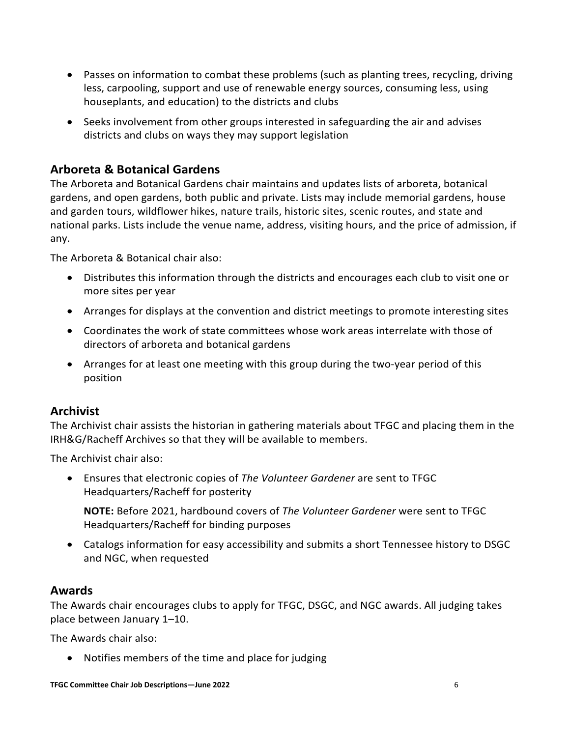- Passes on information to combat these problems (such as planting trees, recycling, driving less, carpooling, support and use of renewable energy sources, consuming less, using houseplants, and education) to the districts and clubs
- Seeks involvement from other groups interested in safeguarding the air and advises districts and clubs on ways they may support legislation

## <span id="page-6-0"></span>**Arboreta & Botanical Gardens**

The Arboreta and Botanical Gardens chair maintains and updates lists of arboreta, botanical gardens, and open gardens, both public and private. Lists may include memorial gardens, house and garden tours, wildflower hikes, nature trails, historic sites, scenic routes, and state and national parks. Lists include the venue name, address, visiting hours, and the price of admission, if any.

The Arboreta & Botanical chair also:

- Distributes this information through the districts and encourages each club to visit one or more sites per year
- Arranges for displays at the convention and district meetings to promote interesting sites
- Coordinates the work of state committees whose work areas interrelate with those of directors of arboreta and botanical gardens
- Arranges for at least one meeting with this group during the two-year period of this position

## <span id="page-6-1"></span>**Archivist**

The Archivist chair assists the historian in gathering materials about TFGC and placing them in the IRH&G/Racheff Archives so that they will be available to members.

The Archivist chair also:

• Ensures that electronic copies of *The Volunteer Gardener* are sent to TFGC Headquarters/Racheff for posterity

**NOTE:** Before 2021, hardbound covers of *The Volunteer Gardener* were sent to TFGC Headquarters/Racheff for binding purposes

• Catalogs information for easy accessibility and submits a short Tennessee history to DSGC and NGC, when requested

## <span id="page-6-2"></span>**Awards**

The Awards chair encourages clubs to apply for TFGC, DSGC, and NGC awards. All judging takes place between January 1–10.

The Awards chair also:

• Notifies members of the time and place for judging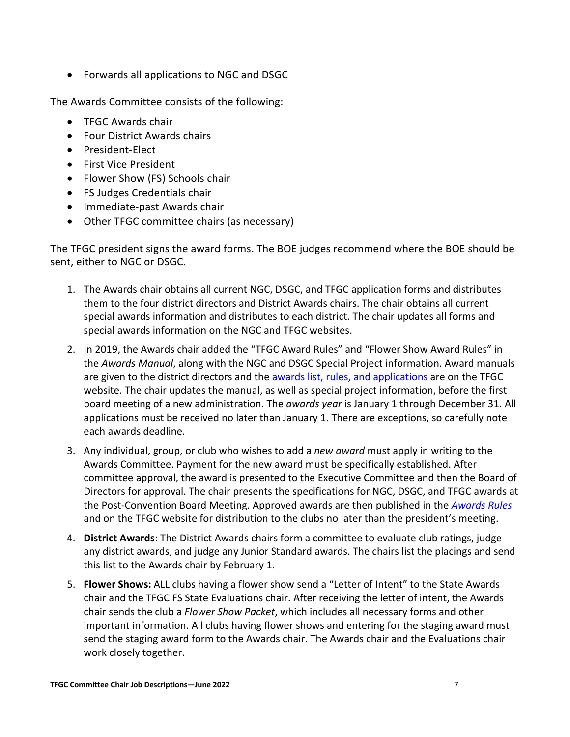• Forwards all applications to NGC and DSGC

The Awards Committee consists of the following:

- TFGC Awards chair
- Four District Awards chairs
- President-Elect
- First Vice President
- Flower Show (FS) Schools chair
- FS Judges Credentials chair
- Immediate-past Awards chair
- Other TFGC committee chairs (as necessary)

The TFGC president signs the award forms. The BOE judges recommend where the BOE should be sent, either to NGC or DSGC.

- 1. The Awards chair obtains all current NGC, DSGC, and TFGC application forms and distributes them to the four district directors and District Awards chairs. The chair obtains all current special awards information and distributes to each district. The chair updates all forms and special awards information on the NGC and TFGC websites.
- 2. In 2019, the Awards chair added the "TFGC Award Rules" and "Flower Show Award Rules" in the *Awards Manual*, along with the NGC and DSGC Special Project information. Award manuals are given to the district directors and the [awards list, rules, and applications](https://www.tngardenclubs.org/projects-programs/awards/) are on the TFGC website. The chair updates the manual, as well as special project information, before the first board meeting of a new administration. The *awards year* is January 1 through December 31. All applications must be received no later than January 1. There are exceptions, so carefully note each awards deadline.
- 3. Any individual, group, or club who wishes to add a *new award* must apply in writing to the Awards Committee. Payment for the new award must be specifically established. After committee approval, the award is presented to the Executive Committee and then the Board of Directors for approval. The chair presents the specifications for NGC, DSGC, and TFGC awards at the Post-Convention Board Meeting. Approved awards are then published in the *[Awards Rules](https://www.tngardenclubs.org/projects-programs/awards/)* and on the TFGC website for distribution to the clubs no later than the president's meeting.
- 4. **District Awards**: The District Awards chairs form a committee to evaluate club ratings, judge any district awards, and judge any Junior Standard awards. The chairs list the placings and send this list to the Awards chair by February 1.
- 5. **Flower Shows:** ALL clubs having a flower show send a "Letter of Intent" to the State Awards chair and the TFGC FS State Evaluations chair. After receiving the letter of intent, the Awards chair sends the club a *Flower Show Packet*, which includes all necessary forms and other important information. All clubs having flower shows and entering for the staging award must send the staging award form to the Awards chair. The Awards chair and the Evaluations chair work closely together.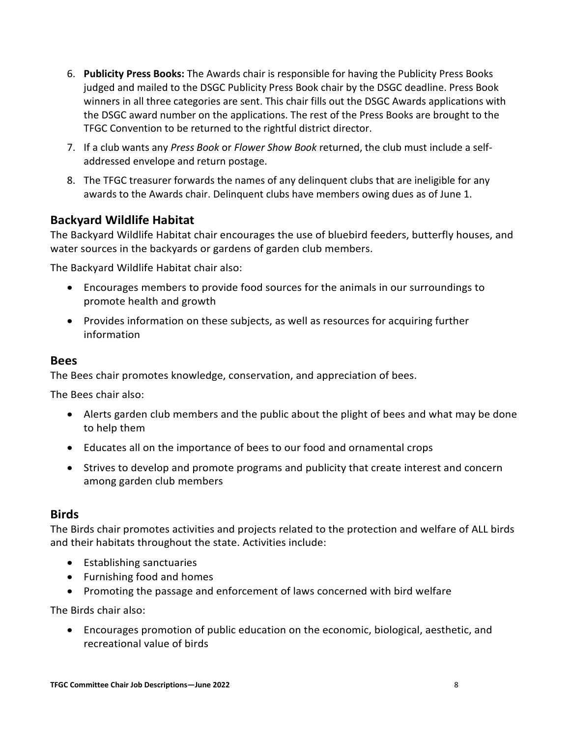- 6. **Publicity Press Books:** The Awards chair is responsible for having the Publicity Press Books judged and mailed to the DSGC Publicity Press Book chair by the DSGC deadline. Press Book winners in all three categories are sent. This chair fills out the DSGC Awards applications with the DSGC award number on the applications. The rest of the Press Books are brought to the TFGC Convention to be returned to the rightful district director.
- 7. If a club wants any *Press Book* or *Flower Show Book* returned, the club must include a selfaddressed envelope and return postage.
- 8. The TFGC treasurer forwards the names of any delinquent clubs that are ineligible for any awards to the Awards chair. Delinquent clubs have members owing dues as of June 1.

## <span id="page-8-0"></span>**Backyard Wildlife Habitat**

The Backyard Wildlife Habitat chair encourages the use of bluebird feeders, butterfly houses, and water sources in the backyards or gardens of garden club members.

The Backyard Wildlife Habitat chair also:

- Encourages members to provide food sources for the animals in our surroundings to promote health and growth
- Provides information on these subjects, as well as resources for acquiring further information

#### <span id="page-8-1"></span>**Bees**

The Bees chair promotes knowledge, conservation, and appreciation of bees.

The Bees chair also:

- Alerts garden club members and the public about the plight of bees and what may be done to help them
- Educates all on the importance of bees to our food and ornamental crops
- Strives to develop and promote programs and publicity that create interest and concern among garden club members

#### <span id="page-8-2"></span>**Birds**

The Birds chair promotes activities and projects related to the protection and welfare of ALL birds and their habitats throughout the state. Activities include:

- Establishing sanctuaries
- Furnishing food and homes
- Promoting the passage and enforcement of laws concerned with bird welfare

The Birds chair also:

• Encourages promotion of public education on the economic, biological, aesthetic, and recreational value of birds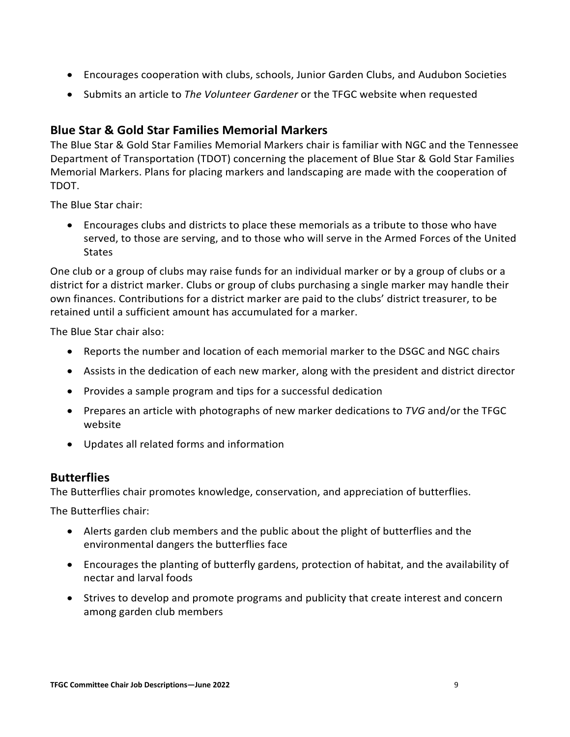- Encourages cooperation with clubs, schools, Junior Garden Clubs, and Audubon Societies
- Submits an article to *The Volunteer Gardener* or the TFGC website when requested

## <span id="page-9-0"></span>**Blue Star & Gold Star Families Memorial Markers**

The Blue Star & Gold Star Families Memorial Markers chair is familiar with NGC and the Tennessee Department of Transportation (TDOT) concerning the placement of Blue Star & Gold Star Families Memorial Markers. Plans for placing markers and landscaping are made with the cooperation of TDOT.

The Blue Star chair:

• Encourages clubs and districts to place these memorials as a tribute to those who have served, to those are serving, and to those who will serve in the Armed Forces of the United States

One club or a group of clubs may raise funds for an individual marker or by a group of clubs or a district for a district marker. Clubs or group of clubs purchasing a single marker may handle their own finances. Contributions for a district marker are paid to the clubs' district treasurer, to be retained until a sufficient amount has accumulated for a marker.

The Blue Star chair also:

- Reports the number and location of each memorial marker to the DSGC and NGC chairs
- Assists in the dedication of each new marker, along with the president and district director
- Provides a sample program and tips for a successful dedication
- Prepares an article with photographs of new marker dedications to *TVG* and/or the TFGC website
- Updates all related forms and information

#### <span id="page-9-1"></span>**Butterflies**

The Butterflies chair promotes knowledge, conservation, and appreciation of butterflies.

The Butterflies chair:

- Alerts garden club members and the public about the plight of butterflies and the environmental dangers the butterflies face
- Encourages the planting of butterfly gardens, protection of habitat, and the availability of nectar and larval foods
- Strives to develop and promote programs and publicity that create interest and concern among garden club members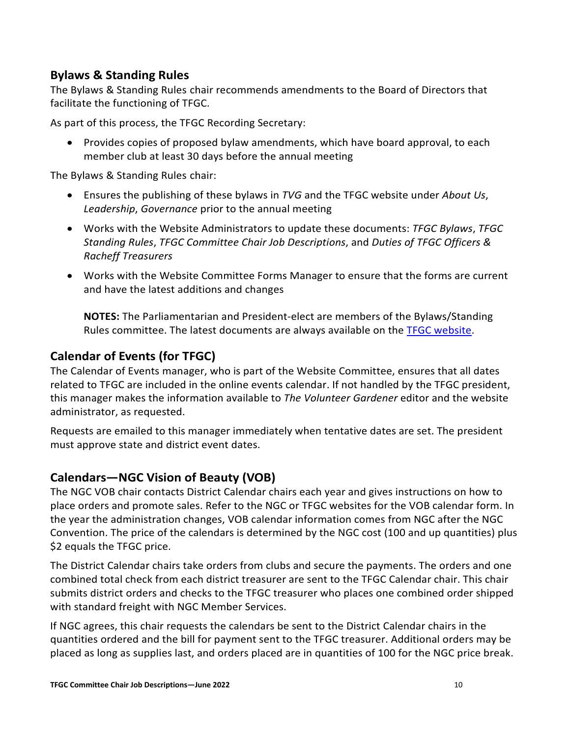## <span id="page-10-0"></span>**Bylaws & Standing Rules**

The Bylaws & Standing Rules chair recommends amendments to the Board of Directors that facilitate the functioning of TFGC.

As part of this process, the TFGC Recording Secretary:

• Provides copies of proposed bylaw amendments, which have board approval, to each member club at least 30 days before the annual meeting

The Bylaws & Standing Rules chair:

- Ensures the publishing of these bylaws in *TVG* and the TFGC website under *About Us*, *Leadership*, *Governance* prior to the annual meeting
- Works with the Website Administrators to update these documents: *TFGC Bylaws*, *TFGC Standing Rules*, *TFGC Committee Chair Job Descriptions*, and *Duties of TFGC Officers & Racheff Treasurers*
- Works with the Website Committee Forms Manager to ensure that the forms are current and have the latest additions and changes

**NOTES:** The Parliamentarian and President-elect are members of the Bylaws/Standing Rules committee. The latest documents are always available on the [TFGC website.](https://www.tngardenclubs.org/governance-docs/)

## <span id="page-10-1"></span>**Calendar of Events (for TFGC)**

The Calendar of Events manager, who is part of the Website Committee, ensures that all dates related to TFGC are included in the online events calendar. If not handled by the TFGC president, this manager makes the information available to *The Volunteer Gardener* editor and the website administrator, as requested.

Requests are emailed to this manager immediately when tentative dates are set. The president must approve state and district event dates.

## <span id="page-10-2"></span>**Calendars—NGC Vision of Beauty (VOB)**

The NGC VOB chair contacts District Calendar chairs each year and gives instructions on how to place orders and promote sales. Refer to the NGC or TFGC websites for the VOB calendar form. In the year the administration changes, VOB calendar information comes from NGC after the NGC Convention. The price of the calendars is determined by the NGC cost (100 and up quantities) plus \$2 equals the TFGC price.

The District Calendar chairs take orders from clubs and secure the payments. The orders and one combined total check from each district treasurer are sent to the TFGC Calendar chair. This chair submits district orders and checks to the TFGC treasurer who places one combined order shipped with standard freight with NGC Member Services.

If NGC agrees, this chair requests the calendars be sent to the District Calendar chairs in the quantities ordered and the bill for payment sent to the TFGC treasurer. Additional orders may be placed as long as supplies last, and orders placed are in quantities of 100 for the NGC price break.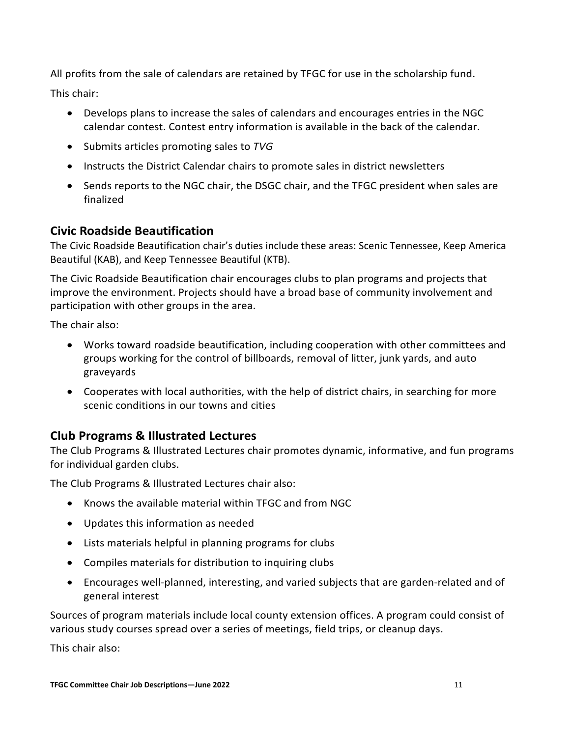All profits from the sale of calendars are retained by TFGC for use in the scholarship fund. This chair:

- Develops plans to increase the sales of calendars and encourages entries in the NGC calendar contest. Contest entry information is available in the back of the calendar.
- Submits articles promoting sales to *TVG*
- Instructs the District Calendar chairs to promote sales in district newsletters
- Sends reports to the NGC chair, the DSGC chair, and the TFGC president when sales are finalized

## **Civic Roadside Beautification**

The Civic Roadside Beautification chair's duties include these areas: Scenic Tennessee, Keep America Beautiful (KAB), and Keep Tennessee Beautiful (KTB).

The Civic Roadside Beautification chair encourages clubs to plan programs and projects that improve the environment. Projects should have a broad base of community involvement and participation with other groups in the area.

The chair also:

- Works toward roadside beautification, including cooperation with other committees and groups working for the control of billboards, removal of litter, junk yards, and auto graveyards
- Cooperates with local authorities, with the help of district chairs, in searching for more scenic conditions in our towns and cities

## <span id="page-11-0"></span>**Club Programs & Illustrated Lectures**

The Club Programs & Illustrated Lectures chair promotes dynamic, informative, and fun programs for individual garden clubs.

The Club Programs & Illustrated Lectures chair also:

- Knows the available material within TFGC and from NGC
- Updates this information as needed
- Lists materials helpful in planning programs for clubs
- Compiles materials for distribution to inquiring clubs
- Encourages well-planned, interesting, and varied subjects that are garden-related and of general interest

Sources of program materials include local county extension offices. A program could consist of various study courses spread over a series of meetings, field trips, or cleanup days.

This chair also: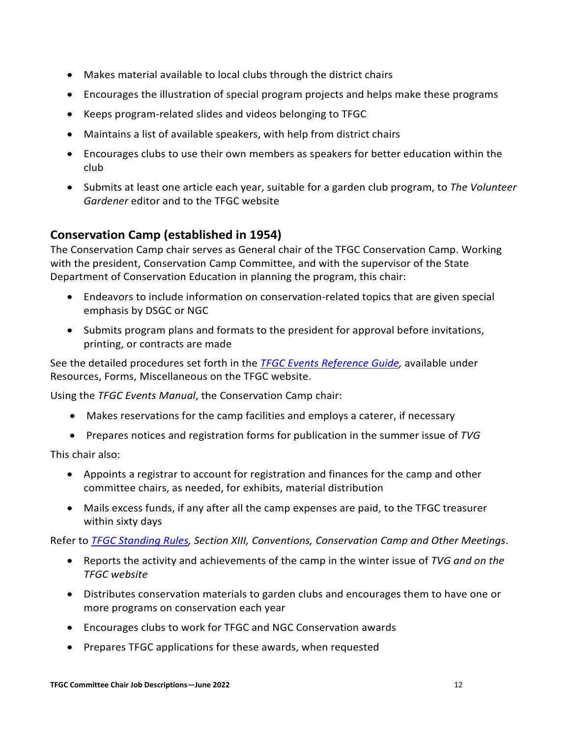- Makes material available to local clubs through the district chairs
- Encourages the illustration of special program projects and helps make these programs
- Keeps program-related slides and videos belonging to TFGC
- Maintains a list of available speakers, with help from district chairs
- Encourages clubs to use their own members as speakers for better education within the club
- Submits at least one article each year, suitable for a garden club program, to *The Volunteer Gardener* editor and to the TFGC website

## <span id="page-12-0"></span>**Conservation Camp (established in 1954)**

The Conservation Camp chair serves as General chair of the TFGC Conservation Camp. Working with the president, Conservation Camp Committee, and with the supervisor of the State Department of Conservation Education in planning the program, this chair:

- Endeavors to include information on conservation-related topics that are given special emphasis by DSGC or NGC
- Submits program plans and formats to the president for approval before invitations, printing, or contracts are made

See the detailed procedures set forth in the *TFGC [Events Reference Guide,](https://www.tngardenclubs.org/forms/)* available under Resources, Forms, Miscellaneous on the TFGC website.

Using the *TFGC Events Manual*, the Conservation Camp chair:

- Makes reservations for the camp facilities and employs a caterer, if necessary
- Prepares notices and registration forms for publication in the summer issue of *TVG*

This chair also:

- Appoints a registrar to account for registration and finances for the camp and other committee chairs, as needed, for exhibits, material distribution
- Mails excess funds, if any after all the camp expenses are paid, to the TFGC treasurer within sixty days

Refer to *TFGC [Standing Rules,](https://www.tngardenclubs.org/governance-docs/) Section XIII, Conventions, Conservation Camp and Other Meetings*.

- Reports the activity and achievements of the camp in the winter issue of *TVG and on the TFGC website*
- Distributes conservation materials to garden clubs and encourages them to have one or more programs on conservation each year
- Encourages clubs to work for TFGC and NGC Conservation awards
- Prepares TFGC applications for these awards, when requested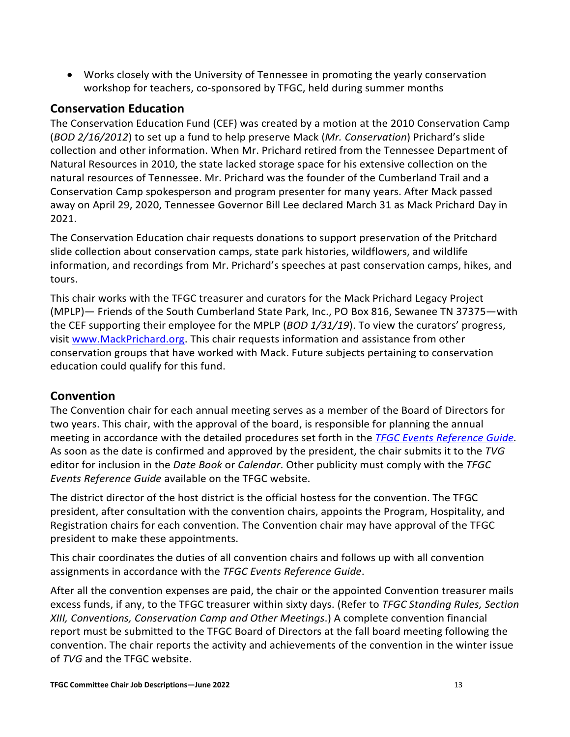• Works closely with the University of Tennessee in promoting the yearly conservation workshop for teachers, co-sponsored by TFGC, held during summer months

## <span id="page-13-0"></span>**Conservation Education**

The Conservation Education Fund (CEF) was created by a motion at the 2010 Conservation Camp (*BOD 2/16/2012*) to set up a fund to help preserve Mack (*Mr. Conservation*) Prichard's slide collection and other information. When Mr. Prichard retired from the Tennessee Department of Natural Resources in 2010, the state lacked storage space for his extensive collection on the natural resources of Tennessee. Mr. Prichard was the founder of the Cumberland Trail and a Conservation Camp spokesperson and program presenter for many years. After Mack passed away on April 29, 2020, Tennessee Governor Bill Lee declared March 31 as Mack Prichard Day in 2021.

The Conservation Education chair requests donations to support preservation of the Pritchard slide collection about conservation camps, state park histories, wildflowers, and wildlife information, and recordings from Mr. Prichard's speeches at past conservation camps, hikes, and tours.

This chair works with the TFGC treasurer and curators for the Mack Prichard Legacy Project (MPLP)— Friends of the South Cumberland State Park, Inc., PO Box 816, Sewanee TN 37375—with the CEF supporting their employee for the MPLP (*BOD 1/31/19*). To view the curators' progress, visit [www.MackPrichard.org.](http://www.mackprichard.org/) This chair requests information and assistance from other conservation groups that have worked with Mack. Future subjects pertaining to conservation education could qualify for this fund.

## <span id="page-13-1"></span>**Convention**

The Convention chair for each annual meeting serves as a member of the Board of Directors for two years. This chair, with the approval of the board, is responsible for planning the annual meeting in accordance with the detailed procedures set forth in the *TFGC [Events Reference Guide.](https://www.tngardenclubs.org/forms/)* As soon as the date is confirmed and approved by the president, the chair submits it to the *TVG* editor for inclusion in the *Date Book* or *Calendar*. Other publicity must comply with the *TFGC Events Reference Guide* available on the TFGC website.

The district director of the host district is the official hostess for the convention. The TFGC president, after consultation with the convention chairs, appoints the Program, Hospitality, and Registration chairs for each convention. The Convention chair may have approval of the TFGC president to make these appointments.

This chair coordinates the duties of all convention chairs and follows up with all convention assignments in accordance with the *TFGC Events Reference Guide*.

After all the convention expenses are paid, the chair or the appointed Convention treasurer mails excess funds, if any, to the TFGC treasurer within sixty days. (Refer to *TFGC Standing Rules, Section XIII, Conventions, Conservation Camp and Other Meetings*.) A complete convention financial report must be submitted to the TFGC Board of Directors at the fall board meeting following the convention. The chair reports the activity and achievements of the convention in the winter issue of *TVG* and the TFGC website.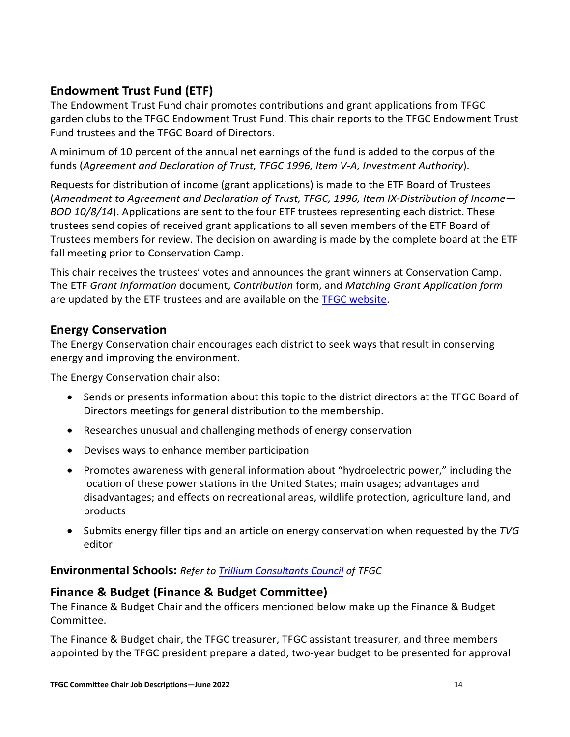## <span id="page-14-0"></span>**Endowment Trust Fund (ETF)**

The Endowment Trust Fund chair promotes contributions and grant applications from TFGC garden clubs to the TFGC Endowment Trust Fund. This chair reports to the TFGC Endowment Trust Fund trustees and the TFGC Board of Directors.

A minimum of 10 percent of the annual net earnings of the fund is added to the corpus of the funds (*Agreement and Declaration of Trust, TFGC 1996, Item V-A, Investment Authority*).

Requests for distribution of income (grant applications) is made to the ETF Board of Trustees (*Amendment to Agreement and Declaration of Trust, TFGC, 1996, Item IX-Distribution of Income— BOD 10/8/14*). Applications are sent to the four ETF trustees representing each district. These trustees send copies of received grant applications to all seven members of the ETF Board of Trustees members for review. The decision on awarding is made by the complete board at the ETF fall meeting prior to Conservation Camp.

This chair receives the trustees' votes and announces the grant winners at Conservation Camp. The ETF *Grant Information* document, *Contribution* form, and *Matching Grant Application form* are updated by the ETF trustees and are available on the [TFGC website.](https://www.tngardenclubs.org/forms/)

## <span id="page-14-1"></span>**Energy Conservation**

The Energy Conservation chair encourages each district to seek ways that result in conserving energy and improving the environment.

The Energy Conservation chair also:

- Sends or presents information about this topic to the district directors at the TFGC Board of Directors meetings for general distribution to the membership.
- Researches unusual and challenging methods of energy conservation
- Devises ways to enhance member participation
- Promotes awareness with general information about "hydroelectric power," including the location of these power stations in the United States; main usages; advantages and disadvantages; and effects on recreational areas, wildlife protection, agriculture land, and products
- Submits energy filler tips and an article on energy conservation when requested by the *TVG* editor

## <span id="page-14-2"></span>**Environmental Schools:** *Refer t[o Trillium Consultants Council](https://www.tngardenclubs.org/councils/) of TFGC*

## <span id="page-14-3"></span>**Finance & Budget (Finance & Budget Committee)**

The Finance & Budget Chair and the officers mentioned below make up the Finance & Budget Committee.

The Finance & Budget chair, the TFGC treasurer, TFGC assistant treasurer, and three members appointed by the TFGC president prepare a dated, two-year budget to be presented for approval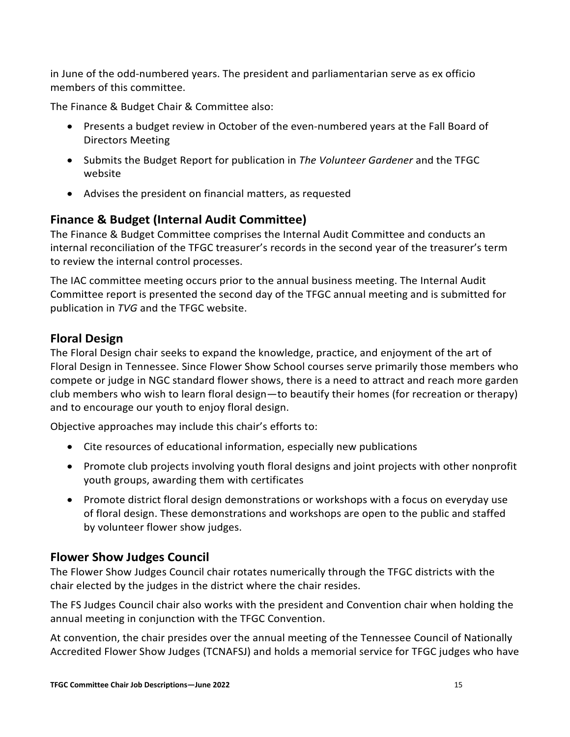in June of the odd-numbered years. The president and parliamentarian serve as ex officio members of this committee.

The Finance & Budget Chair & Committee also:

- Presents a budget review in October of the even-numbered years at the Fall Board of Directors Meeting
- Submits the Budget Report for publication in *The Volunteer Gardener* and the TFGC website
- Advises the president on financial matters, as requested

## <span id="page-15-0"></span>**Finance & Budget (Internal Audit Committee)**

The Finance & Budget Committee comprises the Internal Audit Committee and conducts an internal reconciliation of the TFGC treasurer's records in the second year of the treasurer's term to review the internal control processes.

The IAC committee meeting occurs prior to the annual business meeting. The Internal Audit Committee report is presented the second day of the TFGC annual meeting and is submitted for publication in *TVG* and the TFGC website.

## <span id="page-15-1"></span>**Floral Design**

The Floral Design chair seeks to expand the knowledge, practice, and enjoyment of the art of Floral Design in Tennessee. Since Flower Show School courses serve primarily those members who compete or judge in NGC standard flower shows, there is a need to attract and reach more garden club members who wish to learn floral design—to beautify their homes (for recreation or therapy) and to encourage our youth to enjoy floral design.

Objective approaches may include this chair's efforts to:

- Cite resources of educational information, especially new publications
- Promote club projects involving youth floral designs and joint projects with other nonprofit youth groups, awarding them with certificates
- Promote district floral design demonstrations or workshops with a focus on everyday use of floral design. These demonstrations and workshops are open to the public and staffed by volunteer flower show judges.

## <span id="page-15-2"></span>**Flower Show Judges Council**

The Flower Show Judges Council chair rotates numerically through the TFGC districts with the chair elected by the judges in the district where the chair resides.

The FS Judges Council chair also works with the president and Convention chair when holding the annual meeting in conjunction with the TFGC Convention.

At convention, the chair presides over the annual meeting of the Tennessee Council of Nationally Accredited Flower Show Judges (TCNAFSJ) and holds a memorial service for TFGC judges who have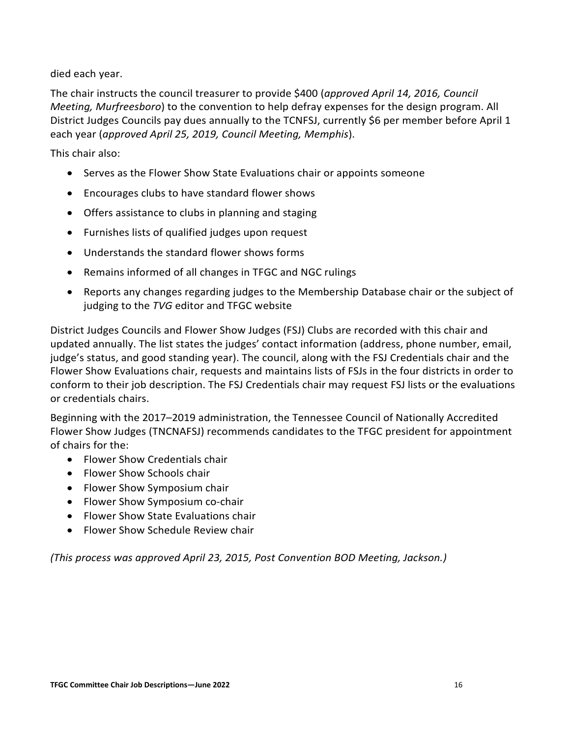died each year.

The chair instructs the council treasurer to provide \$400 (*approved April 14, 2016, Council Meeting, Murfreesboro*) to the convention to help defray expenses for the design program. All District Judges Councils pay dues annually to the TCNFSJ, currently \$6 per member before April 1 each year (*approved April 25, 2019, Council Meeting, Memphis*).

This chair also:

- Serves as the Flower Show State Evaluations chair or appoints someone
- Encourages clubs to have standard flower shows
- Offers assistance to clubs in planning and staging
- Furnishes lists of qualified judges upon request
- Understands the standard flower shows forms
- Remains informed of all changes in TFGC and NGC rulings
- Reports any changes regarding judges to the Membership Database chair or the subject of judging to the *TVG* editor and TFGC website

District Judges Councils and Flower Show Judges (FSJ) Clubs are recorded with this chair and updated annually. The list states the judges' contact information (address, phone number, email, judge's status, and good standing year). The council, along with the FSJ Credentials chair and the Flower Show Evaluations chair, requests and maintains lists of FSJs in the four districts in order to conform to their job description. The FSJ Credentials chair may request FSJ lists or the evaluations or credentials chairs.

Beginning with the 2017–2019 administration, the Tennessee Council of Nationally Accredited Flower Show Judges (TNCNAFSJ) recommends candidates to the TFGC president for appointment of chairs for the:

- Flower Show Credentials chair
- Flower Show Schools chair
- Flower Show Symposium chair
- Flower Show Symposium co-chair
- Flower Show State Evaluations chair
- Flower Show Schedule Review chair

*(This process was approved April 23, 2015, Post Convention BOD Meeting, Jackson.)*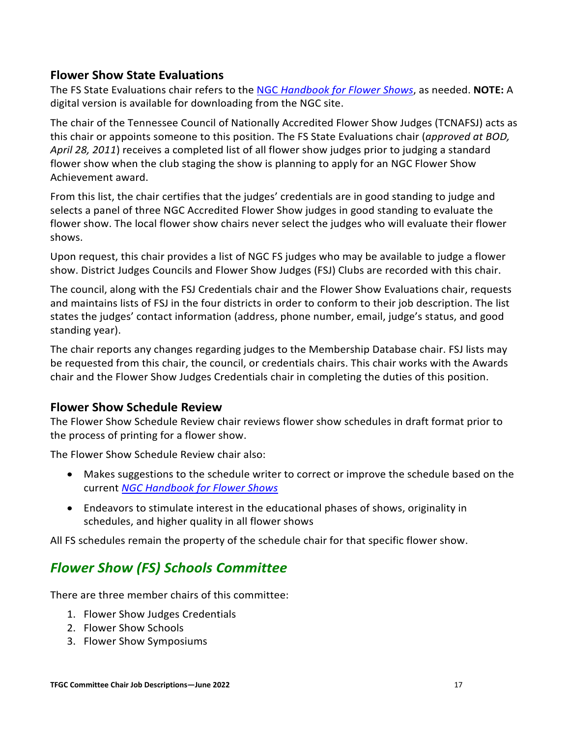## <span id="page-17-0"></span>**Flower Show State Evaluations**

The FS State Evaluations chair refers to the NGC *[Handbook for Flower Shows](https://gardenclub.org/publications)*, as needed. **NOTE:** A digital version is available for downloading from the NGC site.

The chair of the Tennessee Council of Nationally Accredited Flower Show Judges (TCNAFSJ) acts as this chair or appoints someone to this position. The FS State Evaluations chair (*approved at BOD, April 28, 2011*) receives a completed list of all flower show judges prior to judging a standard flower show when the club staging the show is planning to apply for an NGC Flower Show Achievement award.

From this list, the chair certifies that the judges' credentials are in good standing to judge and selects a panel of three NGC Accredited Flower Show judges in good standing to evaluate the flower show. The local flower show chairs never select the judges who will evaluate their flower shows.

Upon request, this chair provides a list of NGC FS judges who may be available to judge a flower show. District Judges Councils and Flower Show Judges (FSJ) Clubs are recorded with this chair.

The council, along with the FSJ Credentials chair and the Flower Show Evaluations chair, requests and maintains lists of FSJ in the four districts in order to conform to their job description. The list states the judges' contact information (address, phone number, email, judge's status, and good standing year).

The chair reports any changes regarding judges to the Membership Database chair. FSJ lists may be requested from this chair, the council, or credentials chairs. This chair works with the Awards chair and the Flower Show Judges Credentials chair in completing the duties of this position.

## <span id="page-17-1"></span>**Flower Show Schedule Review**

The Flower Show Schedule Review chair reviews flower show schedules in draft format prior to the process of printing for a flower show.

The Flower Show Schedule Review chair also:

- Makes suggestions to the schedule writer to correct or improve the schedule based on the current *[NGC Handbook for Flower Shows](https://gardenclub.org/our-store?f%5B0%5D=category%3A84)*
- Endeavors to stimulate interest in the educational phases of shows, originality in schedules, and higher quality in all flower shows

<span id="page-17-2"></span>All FS schedules remain the property of the schedule chair for that specific flower show.

# *Flower Show (FS) Schools Committee*

There are three member chairs of this committee:

- 1. Flower Show Judges Credentials
- 2. Flower Show Schools
- 3. Flower Show Symposiums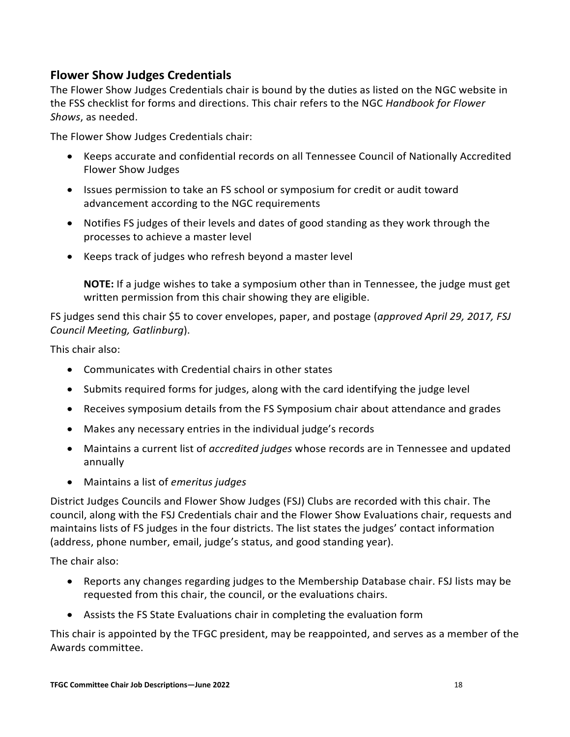## <span id="page-18-0"></span>**Flower Show Judges Credentials**

The Flower Show Judges Credentials chair is bound by the duties as listed on the NGC website in the FSS checklist for forms and directions. This chair refers to the NGC *Handbook for Flower Shows*, as needed.

The Flower Show Judges Credentials chair:

- Keeps accurate and confidential records on all Tennessee Council of Nationally Accredited Flower Show Judges
- Issues permission to take an FS school or symposium for credit or audit toward advancement according to the NGC requirements
- Notifies FS judges of their levels and dates of good standing as they work through the processes to achieve a master level
- Keeps track of judges who refresh beyond a master level

**NOTE:** If a judge wishes to take a symposium other than in Tennessee, the judge must get written permission from this chair showing they are eligible.

FS judges send this chair \$5 to cover envelopes, paper, and postage (*approved April 29, 2017, FSJ Council Meeting, Gatlinburg*).

This chair also:

- Communicates with Credential chairs in other states
- Submits required forms for judges, along with the card identifying the judge level
- Receives symposium details from the FS Symposium chair about attendance and grades
- Makes any necessary entries in the individual judge's records
- Maintains a current list of *accredited judges* whose records are in Tennessee and updated annually
- Maintains a list of *emeritus judges*

District Judges Councils and Flower Show Judges (FSJ) Clubs are recorded with this chair. The council, along with the FSJ Credentials chair and the Flower Show Evaluations chair, requests and maintains lists of FS judges in the four districts. The list states the judges' contact information (address, phone number, email, judge's status, and good standing year).

The chair also:

- Reports any changes regarding judges to the Membership Database chair. FSJ lists may be requested from this chair, the council, or the evaluations chairs.
- Assists the FS State Evaluations chair in completing the evaluation form

This chair is appointed by the TFGC president, may be reappointed, and serves as a member of the Awards committee.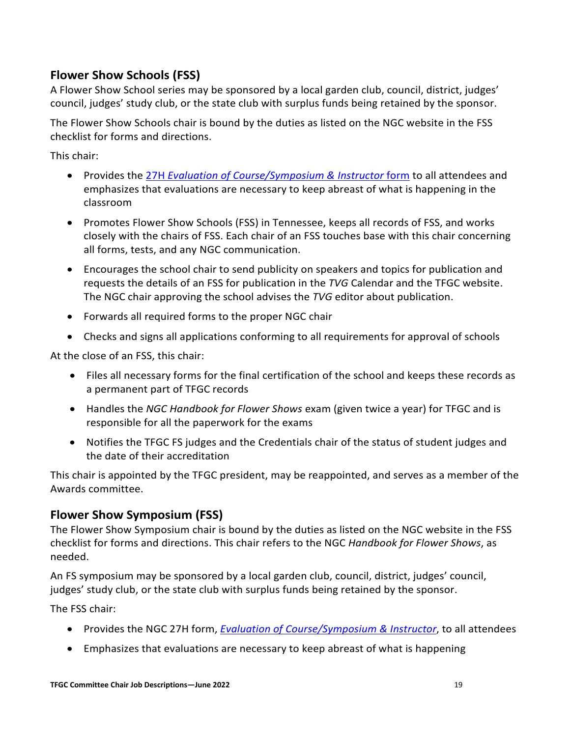## <span id="page-19-0"></span>**Flower Show Schools (FSS)**

A Flower Show School series may be sponsored by a local garden club, council, district, judges' council, judges' study club, or the state club with surplus funds being retained by the sponsor.

The Flower Show Schools chair is bound by the duties as listed on the NGC website in the FSS checklist for forms and directions.

This chair:

- Provides the 27H *[Evaluation of Course/Symposium](https://www.gardenclub.org/sites/default/files/2020-08/fss-form-27.pdf) & Instructor* form to all attendees and emphasizes that evaluations are necessary to keep abreast of what is happening in the classroom
- Promotes Flower Show Schools (FSS) in Tennessee, keeps all records of FSS, and works closely with the chairs of FSS. Each chair of an FSS touches base with this chair concerning all forms, tests, and any NGC communication.
- Encourages the school chair to send publicity on speakers and topics for publication and requests the details of an FSS for publication in the *TVG* Calendar and the TFGC website. The NGC chair approving the school advises the *TVG* editor about publication.
- Forwards all required forms to the proper NGC chair
- Checks and signs all applications conforming to all requirements for approval of schools

At the close of an FSS, this chair:

- Files all necessary forms for the final certification of the school and keeps these records as a permanent part of TFGC records
- Handles the *NGC Handbook for Flower Shows* exam (given twice a year) for TFGC and is responsible for all the paperwork for the exams
- Notifies the TFGC FS judges and the Credentials chair of the status of student judges and the date of their accreditation

This chair is appointed by the TFGC president, may be reappointed, and serves as a member of the Awards committee.

## <span id="page-19-1"></span>**Flower Show Symposium (FSS)**

The Flower Show Symposium chair is bound by the duties as listed on the NGC website in the FSS checklist for forms and directions. This chair refers to the NGC *Handbook for Flower Shows*, as needed.

An FS symposium may be sponsored by a local garden club, council, district, judges' council, judges' study club, or the state club with surplus funds being retained by the sponsor.

The FSS chair:

- Provides the NGC 27H form, *[Evaluation of Course/Symposium & Instructor](https://www.gardenclub.org/sites/default/files/2020-08/fss-form-27.pdf)*, to all attendees
- Emphasizes that evaluations are necessary to keep abreast of what is happening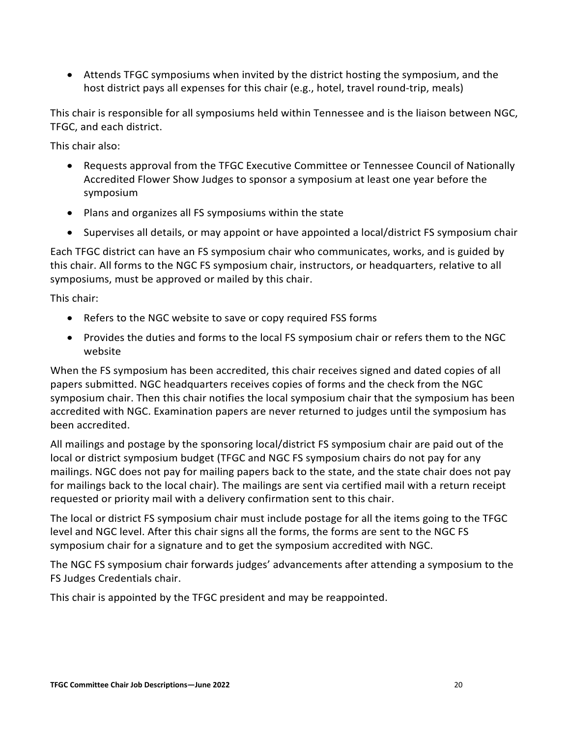• Attends TFGC symposiums when invited by the district hosting the symposium, and the host district pays all expenses for this chair (e.g., hotel, travel round-trip, meals)

This chair is responsible for all symposiums held within Tennessee and is the liaison between NGC, TFGC, and each district.

This chair also:

- Requests approval from the TFGC Executive Committee or Tennessee Council of Nationally Accredited Flower Show Judges to sponsor a symposium at least one year before the symposium
- Plans and organizes all FS symposiums within the state
- Supervises all details, or may appoint or have appointed a local/district FS symposium chair

Each TFGC district can have an FS symposium chair who communicates, works, and is guided by this chair. All forms to the NGC FS symposium chair, instructors, or headquarters, relative to all symposiums, must be approved or mailed by this chair.

This chair:

- Refers to the NGC website to save or copy required FSS forms
- Provides the duties and forms to the local FS symposium chair or refers them to the NGC website

When the FS symposium has been accredited, this chair receives signed and dated copies of all papers submitted. NGC headquarters receives copies of forms and the check from the NGC symposium chair. Then this chair notifies the local symposium chair that the symposium has been accredited with NGC. Examination papers are never returned to judges until the symposium has been accredited.

All mailings and postage by the sponsoring local/district FS symposium chair are paid out of the local or district symposium budget (TFGC and NGC FS symposium chairs do not pay for any mailings. NGC does not pay for mailing papers back to the state, and the state chair does not pay for mailings back to the local chair). The mailings are sent via certified mail with a return receipt requested or priority mail with a delivery confirmation sent to this chair.

The local or district FS symposium chair must include postage for all the items going to the TFGC level and NGC level. After this chair signs all the forms, the forms are sent to the NGC FS symposium chair for a signature and to get the symposium accredited with NGC.

The NGC FS symposium chair forwards judges' advancements after attending a symposium to the FS Judges Credentials chair.

This chair is appointed by the TFGC president and may be reappointed.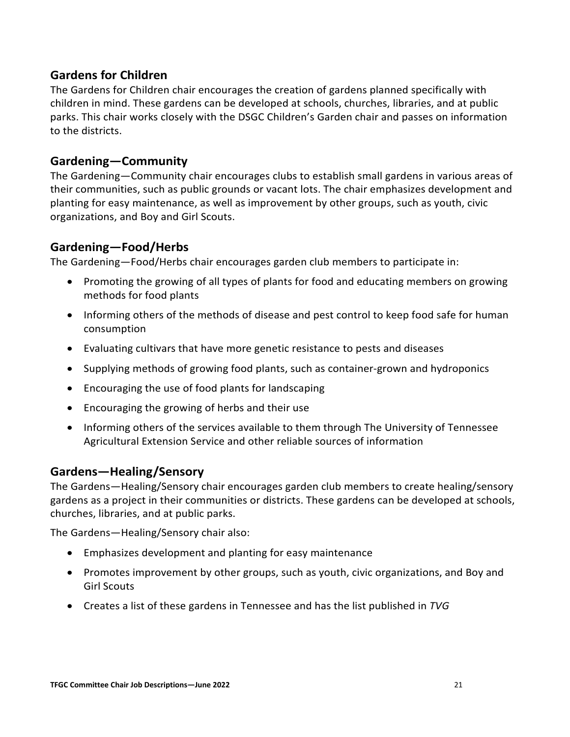## <span id="page-21-0"></span>**Gardens for Children**

The Gardens for Children chair encourages the creation of gardens planned specifically with children in mind. These gardens can be developed at schools, churches, libraries, and at public parks. This chair works closely with the DSGC Children's Garden chair and passes on information to the districts.

## <span id="page-21-1"></span>**Gardening—Community**

The Gardening—Community chair encourages clubs to establish small gardens in various areas of their communities, such as public grounds or vacant lots. The chair emphasizes development and planting for easy maintenance, as well as improvement by other groups, such as youth, civic organizations, and Boy and Girl Scouts.

## <span id="page-21-2"></span>**Gardening—Food/Herbs**

The Gardening—Food/Herbs chair encourages garden club members to participate in:

- Promoting the growing of all types of plants for food and educating members on growing methods for food plants
- Informing others of the methods of disease and pest control to keep food safe for human consumption
- Evaluating cultivars that have more genetic resistance to pests and diseases
- Supplying methods of growing food plants, such as container-grown and hydroponics
- Encouraging the use of food plants for landscaping
- Encouraging the growing of herbs and their use
- Informing others of the services available to them through The University of Tennessee Agricultural Extension Service and other reliable sources of information

## <span id="page-21-3"></span>**Gardens—Healing/Sensory**

The Gardens—Healing/Sensory chair encourages garden club members to create healing/sensory gardens as a project in their communities or districts. These gardens can be developed at schools, churches, libraries, and at public parks.

The Gardens—Healing/Sensory chair also:

- Emphasizes development and planting for easy maintenance
- Promotes improvement by other groups, such as youth, civic organizations, and Boy and Girl Scouts
- Creates a list of these gardens in Tennessee and has the list published in *TVG*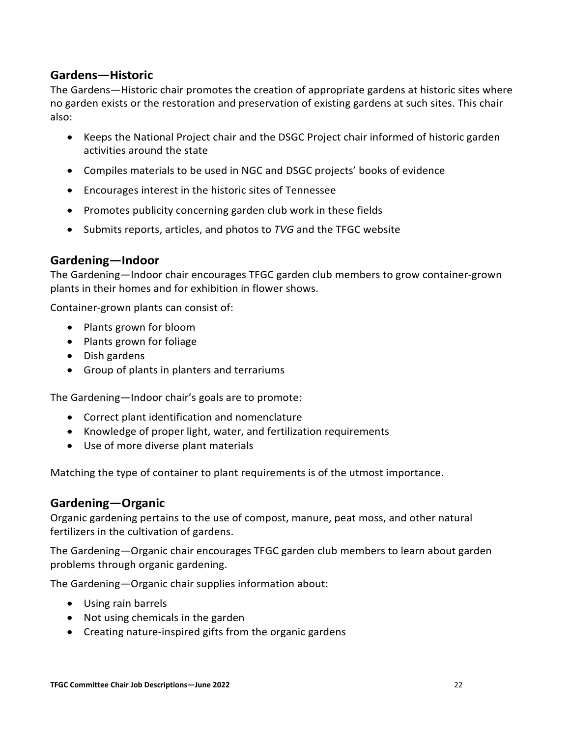## <span id="page-22-0"></span>**Gardens—Historic**

The Gardens—Historic chair promotes the creation of appropriate gardens at historic sites where no garden exists or the restoration and preservation of existing gardens at such sites. This chair also:

- Keeps the National Project chair and the DSGC Project chair informed of historic garden activities around the state
- Compiles materials to be used in NGC and DSGC projects' books of evidence
- Encourages interest in the historic sites of Tennessee
- Promotes publicity concerning garden club work in these fields
- Submits reports, articles, and photos to *TVG* and the TFGC website

#### <span id="page-22-1"></span>**Gardening—Indoor**

The Gardening—Indoor chair encourages TFGC garden club members to grow container-grown plants in their homes and for exhibition in flower shows.

Container-grown plants can consist of:

- Plants grown for bloom
- Plants grown for foliage
- Dish gardens
- Group of plants in planters and terrariums

The Gardening—Indoor chair's goals are to promote:

- Correct plant identification and nomenclature
- Knowledge of proper light, water, and fertilization requirements
- Use of more diverse plant materials

Matching the type of container to plant requirements is of the utmost importance.

#### <span id="page-22-2"></span>**Gardening—Organic**

Organic gardening pertains to the use of compost, manure, peat moss, and other natural fertilizers in the cultivation of gardens.

The Gardening—Organic chair encourages TFGC garden club members to learn about garden problems through organic gardening.

The Gardening—Organic chair supplies information about:

- Using rain barrels
- Not using chemicals in the garden
- Creating nature-inspired gifts from the organic gardens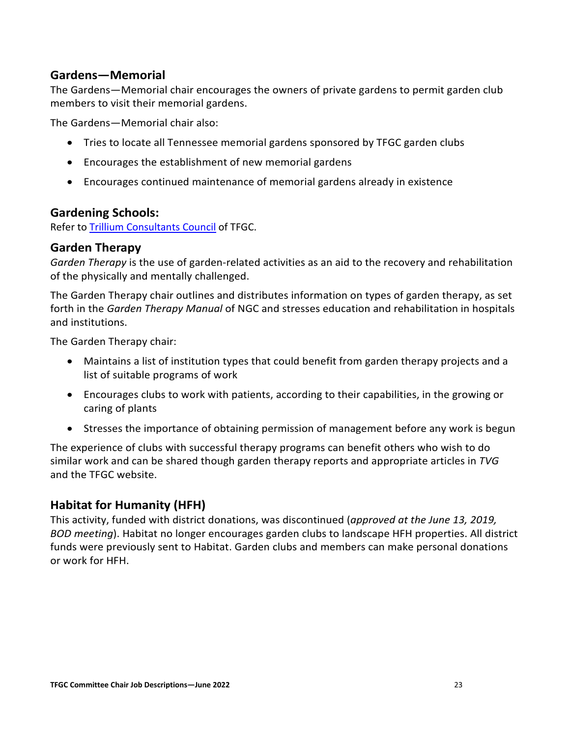## <span id="page-23-0"></span>**Gardens—Memorial**

The Gardens—Memorial chair encourages the owners of private gardens to permit garden club members to visit their memorial gardens.

The Gardens—Memorial chair also:

- Tries to locate all Tennessee memorial gardens sponsored by TFGC garden clubs
- Encourages the establishment of new memorial gardens
- Encourages continued maintenance of memorial gardens already in existence

#### <span id="page-23-1"></span>**Gardening Schools:**

Refer to [Trillium Consultants Council](https://www.tngardenclubs.org/councils/) of TFGC.

#### <span id="page-23-2"></span>**Garden Therapy**

*Garden Therapy* is the use of garden-related activities as an aid to the recovery and rehabilitation of the physically and mentally challenged.

The Garden Therapy chair outlines and distributes information on types of garden therapy, as set forth in the *Garden Therapy Manual* of NGC and stresses education and rehabilitation in hospitals and institutions.

The Garden Therapy chair:

- Maintains a list of institution types that could benefit from garden therapy projects and a list of suitable programs of work
- Encourages clubs to work with patients, according to their capabilities, in the growing or caring of plants
- Stresses the importance of obtaining permission of management before any work is begun

The experience of clubs with successful therapy programs can benefit others who wish to do similar work and can be shared though garden therapy reports and appropriate articles in *TVG* and the TFGC website.

## <span id="page-23-3"></span>**Habitat for Humanity (HFH)**

This activity, funded with district donations, was discontinued (*approved at the June 13, 2019, BOD meeting*). Habitat no longer encourages garden clubs to landscape HFH properties. All district funds were previously sent to Habitat. Garden clubs and members can make personal donations or work for HFH.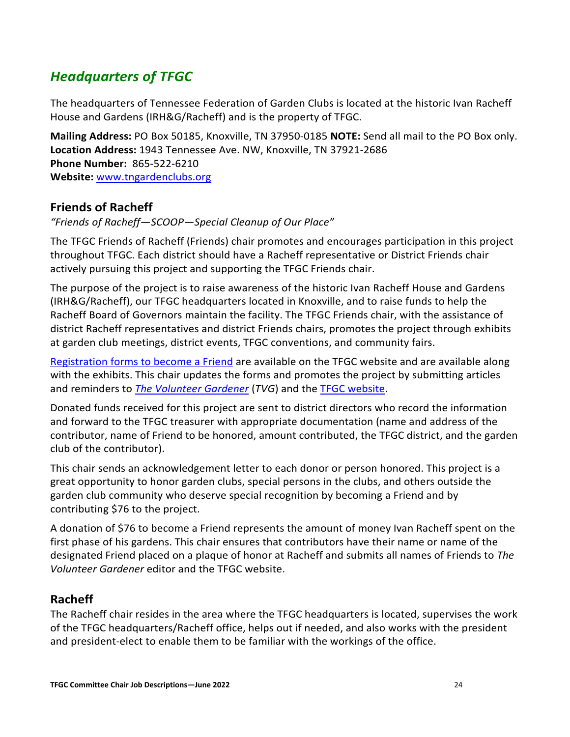## <span id="page-24-0"></span>*Headquarters of TFGC*

The headquarters of Tennessee Federation of Garden Clubs is located at the historic Ivan Racheff House and Gardens (IRH&G/Racheff) and is the property of TFGC.

**Mailing Address:** PO Box 50185, Knoxville, TN 37950-0185 **NOTE:** Send all mail to the PO Box only. **Location Address:** 1943 Tennessee Ave. NW, Knoxville, TN 37921-2686 **Phone Number:** 865-522-6210 **Website:** [www.tngardenclubs.org](http://www.tngardenclubs.org/) 

## <span id="page-24-1"></span>**Friends of Racheff**

*"Friends of Racheff—SCOOP—Special Cleanup of Our Place"* 

The TFGC Friends of Racheff (Friends) chair promotes and encourages participation in this project throughout TFGC. Each district should have a Racheff representative or District Friends chair actively pursuing this project and supporting the TFGC Friends chair.

The purpose of the project is to raise awareness of the historic Ivan Racheff House and Gardens (IRH&G/Racheff), our TFGC headquarters located in Knoxville, and to raise funds to help the Racheff Board of Governors maintain the facility. The TFGC Friends chair, with the assistance of district Racheff representatives and district Friends chairs, promotes the project through exhibits at garden club meetings, district events, TFGC conventions, and community fairs.

[Registration forms to become a Friend](https://www.tngardenclubs.org/wp-content/uploads/2021/03/Friends-of-Racheff-Enlistment-Form-1.pdf) are available on the TFGC website and are available along with the exhibits. This chair updates the forms and promotes the project by submitting articles and reminders to *[The Volunteer Gardener](https://www.tngardenclubs.org/volunteer-gardener/)* (*TVG*) and the [TFGC website.](http://www.tngardenclubs.org/)

Donated funds received for this project are sent to district directors who record the information and forward to the TFGC treasurer with appropriate documentation (name and address of the contributor, name of Friend to be honored, amount contributed, the TFGC district, and the garden club of the contributor).

This chair sends an acknowledgement letter to each donor or person honored. This project is a great opportunity to honor garden clubs, special persons in the clubs, and others outside the garden club community who deserve special recognition by becoming a Friend and by contributing \$76 to the project.

A donation of \$76 to become a Friend represents the amount of money Ivan Racheff spent on the first phase of his gardens. This chair ensures that contributors have their name or name of the designated Friend placed on a plaque of honor at Racheff and submits all names of Friends to *The Volunteer Gardener* editor and the TFGC website.

## <span id="page-24-2"></span>**Racheff**

The Racheff chair resides in the area where the TFGC headquarters is located, supervises the work of the TFGC headquarters/Racheff office, helps out if needed, and also works with the president and president-elect to enable them to be familiar with the workings of the office.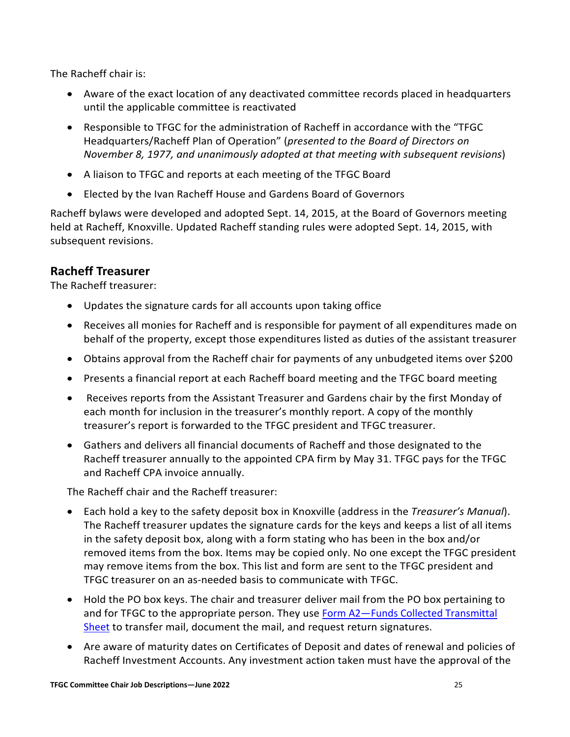The Racheff chair is:

- Aware of the exact location of any deactivated committee records placed in headquarters until the applicable committee is reactivated
- Responsible to TFGC for the administration of Racheff in accordance with the "TFGC Headquarters/Racheff Plan of Operation" (*presented to the Board of Directors on November 8, 1977, and unanimously adopted at that meeting with subsequent revisions*)
- A liaison to TFGC and reports at each meeting of the TFGC Board
- Elected by the Ivan Racheff House and Gardens Board of Governors

Racheff bylaws were developed and adopted Sept. 14, 2015, at the Board of Governors meeting held at Racheff, Knoxville. Updated Racheff standing rules were adopted Sept. 14, 2015, with subsequent revisions.

## <span id="page-25-0"></span>**Racheff Treasurer**

The Racheff treasurer:

- Updates the signature cards for all accounts upon taking office
- Receives all monies for Racheff and is responsible for payment of all expenditures made on behalf of the property, except those expenditures listed as duties of the assistant treasurer
- Obtains approval from the Racheff chair for payments of any unbudgeted items over \$200
- Presents a financial report at each Racheff board meeting and the TFGC board meeting
- Receives reports from the Assistant Treasurer and Gardens chair by the first Monday of each month for inclusion in the treasurer's monthly report. A copy of the monthly treasurer's report is forwarded to the TFGC president and TFGC treasurer.
- Gathers and delivers all financial documents of Racheff and those designated to the Racheff treasurer annually to the appointed CPA firm by May 31. TFGC pays for the TFGC and Racheff CPA invoice annually.

The Racheff chair and the Racheff treasurer:

- Each hold a key to the safety deposit box in Knoxville (address in the *Treasurer's Manual*). The Racheff treasurer updates the signature cards for the keys and keeps a list of all items in the safety deposit box, along with a form stating who has been in the box and/or removed items from the box. Items may be copied only. No one except the TFGC president may remove items from the box. This list and form are sent to the TFGC president and TFGC treasurer on an as-needed basis to communicate with TFGC.
- Hold the PO box keys. The chair and treasurer deliver mail from the PO box pertaining to and for TFGC to the appropriate person. They use [Form A2—Funds Collected Transmittal](https://www.tngardenclubs.org/wp-content/uploads/2022/01/A2-Funds-Collected-Transmittal-Sheet-1.pdf)  [Sheet](https://www.tngardenclubs.org/wp-content/uploads/2022/01/A2-Funds-Collected-Transmittal-Sheet-1.pdf) to transfer mail, document the mail, and request return signatures.
- Are aware of maturity dates on Certificates of Deposit and dates of renewal and policies of Racheff Investment Accounts. Any investment action taken must have the approval of the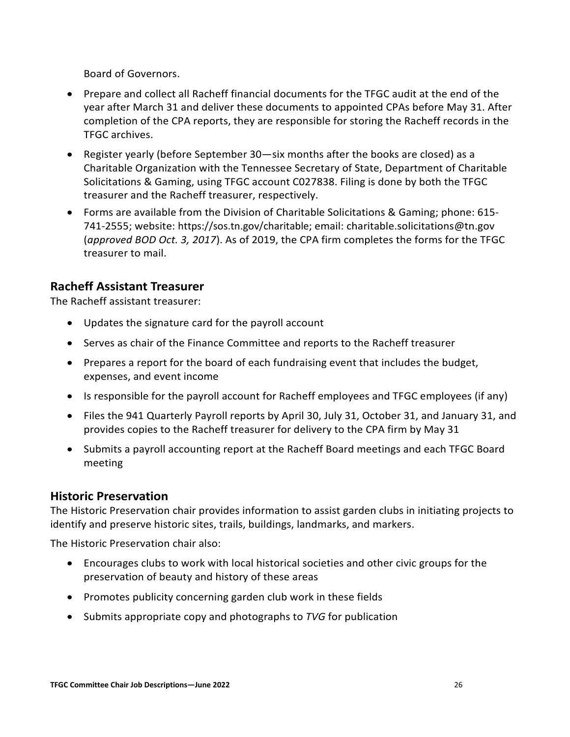Board of Governors.

- Prepare and collect all Racheff financial documents for the TFGC audit at the end of the year after March 31 and deliver these documents to appointed CPAs before May 31. After completion of the CPA reports, they are responsible for storing the Racheff records in the TFGC archives.
- Register yearly (before September 30—six months after the books are closed) as a Charitable Organization with the Tennessee Secretary of State, Department of Charitable Solicitations & Gaming, using TFGC account C027838. Filing is done by both the TFGC treasurer and the Racheff treasurer, respectively.
- Forms are available from the Division of Charitable Solicitations & Gaming; phone: 615- 741-2555; website: [https://sos.tn.gov/charitable;](https://sos.tn.gov/charitable) email: [charitable.solicitations@tn.gov](mailto:charitable.solicitations@tn.gov) (*approved BOD Oct. 3, 2017*). As of 2019, the CPA firm completes the forms for the TFGC treasurer to mail.

## <span id="page-26-0"></span>**Racheff Assistant Treasurer**

The Racheff assistant treasurer:

- Updates the signature card for the payroll account
- Serves as chair of the Finance Committee and reports to the Racheff treasurer
- Prepares a report for the board of each fundraising event that includes the budget, expenses, and event income
- Is responsible for the payroll account for Racheff employees and TFGC employees (if any)
- Files the 941 Quarterly Payroll reports by April 30, July 31, October 31, and January 31, and provides copies to the Racheff treasurer for delivery to the CPA firm by May 31
- Submits a payroll accounting report at the Racheff Board meetings and each TFGC Board meeting

#### <span id="page-26-1"></span>**Historic Preservation**

The Historic Preservation chair provides information to assist garden clubs in initiating projects to identify and preserve historic sites, trails, buildings, landmarks, and markers.

The Historic Preservation chair also:

- Encourages clubs to work with local historical societies and other civic groups for the preservation of beauty and history of these areas
- Promotes publicity concerning garden club work in these fields
- Submits appropriate copy and photographs to *TVG* for publication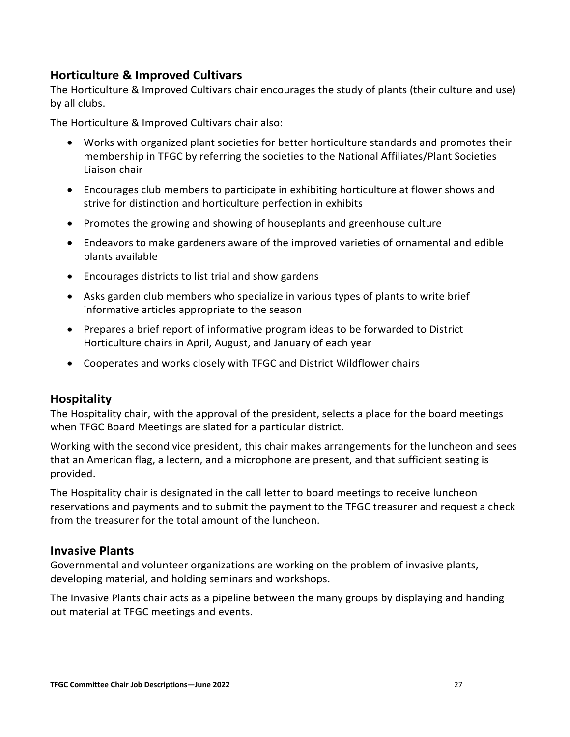## <span id="page-27-0"></span>**Horticulture & Improved Cultivars**

The Horticulture & Improved Cultivars chair encourages the study of plants (their culture and use) by all clubs.

The Horticulture & Improved Cultivars chair also:

- Works with organized plant societies for better horticulture standards and promotes their membership in TFGC by referring the societies to the National Affiliates/Plant Societies Liaison chair
- Encourages club members to participate in exhibiting horticulture at flower shows and strive for distinction and horticulture perfection in exhibits
- Promotes the growing and showing of houseplants and greenhouse culture
- Endeavors to make gardeners aware of the improved varieties of ornamental and edible plants available
- Encourages districts to list trial and show gardens
- Asks garden club members who specialize in various types of plants to write brief informative articles appropriate to the season
- Prepares a brief report of informative program ideas to be forwarded to District Horticulture chairs in April, August, and January of each year
- Cooperates and works closely with TFGC and District Wildflower chairs

#### <span id="page-27-1"></span>**Hospitality**

The Hospitality chair, with the approval of the president, selects a place for the board meetings when TFGC Board Meetings are slated for a particular district.

Working with the second vice president, this chair makes arrangements for the luncheon and sees that an American flag, a lectern, and a microphone are present, and that sufficient seating is provided.

The Hospitality chair is designated in the call letter to board meetings to receive luncheon reservations and payments and to submit the payment to the TFGC treasurer and request a check from the treasurer for the total amount of the luncheon.

#### <span id="page-27-2"></span>**Invasive Plants**

Governmental and volunteer organizations are working on the problem of invasive plants, developing material, and holding seminars and workshops.

The Invasive Plants chair acts as a pipeline between the many groups by displaying and handing out material at TFGC meetings and events.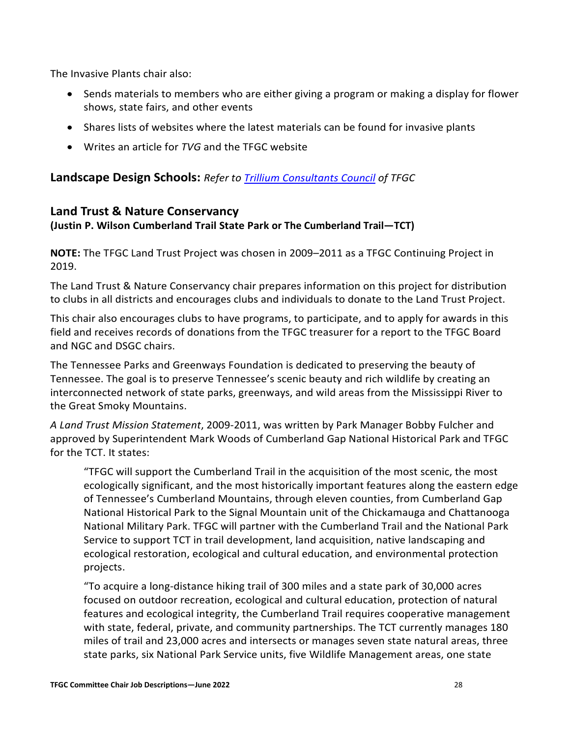The Invasive Plants chair also:

- Sends materials to members who are either giving a program or making a display for flower shows, state fairs, and other events
- Shares lists of websites where the latest materials can be found for invasive plants
- Writes an article for *TVG* and the TFGC website

## <span id="page-28-0"></span>**Landscape Design Schools:** *Refer to [Trillium Consultants Council](https://www.tngardenclubs.org/councils/) of TFGC*

## <span id="page-28-1"></span>**Land Trust & Nature Conservancy**

#### **(Justin P. Wilson Cumberland Trail State Park or The Cumberland Trail—TCT)**

**NOTE:** The TFGC Land Trust Project was chosen in 2009–2011 as a TFGC Continuing Project in 2019.

The Land Trust & Nature Conservancy chair prepares information on this project for distribution to clubs in all districts and encourages clubs and individuals to donate to the Land Trust Project.

This chair also encourages clubs to have programs, to participate, and to apply for awards in this field and receives records of donations from the TFGC treasurer for a report to the TFGC Board and NGC and DSGC chairs.

The Tennessee Parks and Greenways Foundation is dedicated to preserving the beauty of Tennessee. The goal is to preserve Tennessee's scenic beauty and rich wildlife by creating an interconnected network of state parks, greenways, and wild areas from the Mississippi River to the Great Smoky Mountains.

*A Land Trust Mission Statement*, 2009-2011, was written by Park Manager Bobby Fulcher and approved by Superintendent Mark Woods of Cumberland Gap National Historical Park and TFGC for the TCT. It states:

"TFGC will support the Cumberland Trail in the acquisition of the most scenic, the most ecologically significant, and the most historically important features along the eastern edge of Tennessee's Cumberland Mountains, through eleven counties, from Cumberland Gap National Historical Park to the Signal Mountain unit of the Chickamauga and Chattanooga National Military Park. TFGC will partner with the Cumberland Trail and the National Park Service to support TCT in trail development, land acquisition, native landscaping and ecological restoration, ecological and cultural education, and environmental protection projects.

"To acquire a long-distance hiking trail of 300 miles and a state park of 30,000 acres focused on outdoor recreation, ecological and cultural education, protection of natural features and ecological integrity, the Cumberland Trail requires cooperative management with state, federal, private, and community partnerships. The TCT currently manages 180 miles of trail and 23,000 acres and intersects or manages seven state natural areas, three state parks, six National Park Service units, five Wildlife Management areas, one state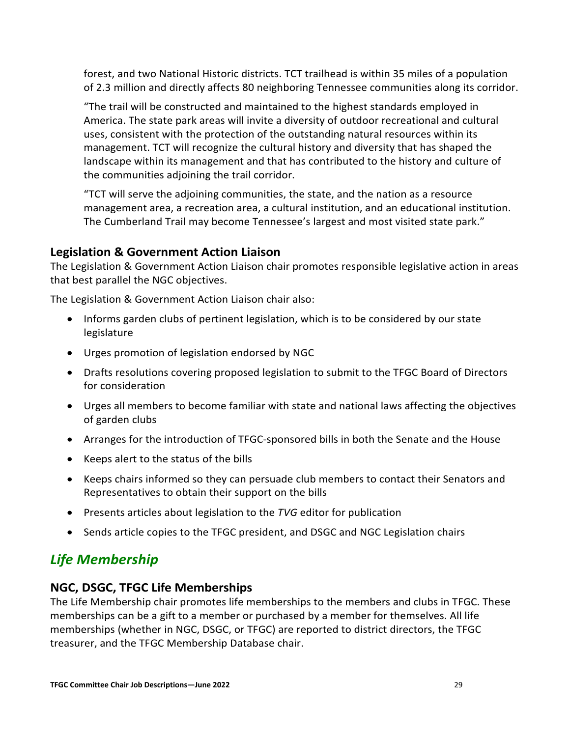forest, and two National Historic districts. TCT trailhead is within 35 miles of a population of 2.3 million and directly affects 80 neighboring Tennessee communities along its corridor.

"The trail will be constructed and maintained to the highest standards employed in America. The state park areas will invite a diversity of outdoor recreational and cultural uses, consistent with the protection of the outstanding natural resources within its management. TCT will recognize the cultural history and diversity that has shaped the landscape within its management and that has contributed to the history and culture of the communities adjoining the trail corridor.

"TCT will serve the adjoining communities, the state, and the nation as a resource management area, a recreation area, a cultural institution, and an educational institution. The Cumberland Trail may become Tennessee's largest and most visited state park."

## <span id="page-29-0"></span>**Legislation & Government Action Liaison**

The Legislation & Government Action Liaison chair promotes responsible legislative action in areas that best parallel the NGC objectives.

The Legislation & Government Action Liaison chair also:

- Informs garden clubs of pertinent legislation, which is to be considered by our state legislature
- Urges promotion of legislation endorsed by NGC
- Drafts resolutions covering proposed legislation to submit to the TFGC Board of Directors for consideration
- Urges all members to become familiar with state and national laws affecting the objectives of garden clubs
- Arranges for the introduction of TFGC-sponsored bills in both the Senate and the House
- Keeps alert to the status of the bills
- Keeps chairs informed so they can persuade club members to contact their Senators and Representatives to obtain their support on the bills
- Presents articles about legislation to the *TVG* editor for publication
- Sends article copies to the TFGC president, and DSGC and NGC Legislation chairs

## <span id="page-29-1"></span>*Life Membership*

## <span id="page-29-2"></span>**NGC, DSGC, TFGC Life Memberships**

The Life Membership chair promotes life memberships to the members and clubs in TFGC. These memberships can be a gift to a member or purchased by a member for themselves. All life memberships (whether in NGC, DSGC, or TFGC) are reported to district directors, the TFGC treasurer, and the TFGC Membership Database chair.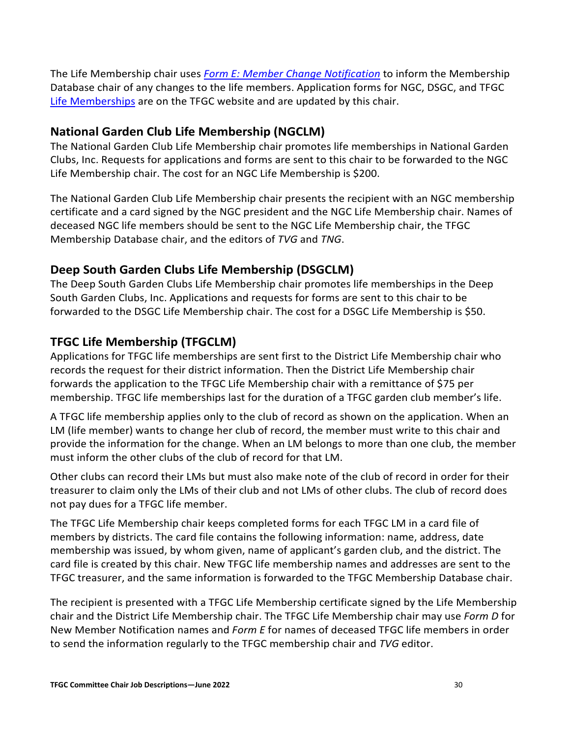The Life Membership chair uses *[Form E: Member Change Notification](https://www.tngardenclubs.org/wp-content/uploads/2022/01/Form-E-Member-Change-Notification-1.pdf)* to inform the Membership Database chair of any changes to the life members. Application forms for NGC, DSGC, and TFGC [Life Memberships](https://www.tngardenclubs.org/forms/) are on the TFGC website and are updated by this chair.

## <span id="page-30-0"></span>**National Garden Club Life Membership (NGCLM)**

The National Garden Club Life Membership chair promotes life memberships in National Garden Clubs, Inc. Requests for applications and forms are sent to this chair to be forwarded to the NGC Life Membership chair. The cost for an NGC Life Membership is \$200.

The National Garden Club Life Membership chair presents the recipient with an NGC membership certificate and a card signed by the NGC president and the NGC Life Membership chair. Names of deceased NGC life members should be sent to the NGC Life Membership chair, the TFGC Membership Database chair, and the editors of *TVG* and *TNG*.

## <span id="page-30-1"></span>**Deep South Garden Clubs Life Membership (DSGCLM)**

The Deep South Garden Clubs Life Membership chair promotes life memberships in the Deep South Garden Clubs, Inc. Applications and requests for forms are sent to this chair to be forwarded to the DSGC Life Membership chair. The cost for a DSGC Life Membership is \$50.

## <span id="page-30-2"></span>**TFGC Life Membership (TFGCLM)**

Applications for TFGC life memberships are sent first to the District Life Membership chair who records the request for their district information. Then the District Life Membership chair forwards the application to the TFGC Life Membership chair with a remittance of \$75 per membership. TFGC life memberships last for the duration of a TFGC garden club member's life.

A TFGC life membership applies only to the club of record as shown on the application. When an LM (life member) wants to change her club of record, the member must write to this chair and provide the information for the change. When an LM belongs to more than one club, the member must inform the other clubs of the club of record for that LM.

Other clubs can record their LMs but must also make note of the club of record in order for their treasurer to claim only the LMs of their club and not LMs of other clubs. The club of record does not pay dues for a TFGC life member.

The TFGC Life Membership chair keeps completed forms for each TFGC LM in a card file of members by districts. The card file contains the following information: name, address, date membership was issued, by whom given, name of applicant's garden club, and the district. The card file is created by this chair. New TFGC life membership names and addresses are sent to the TFGC treasurer, and the same information is forwarded to the TFGC Membership Database chair.

The recipient is presented with a TFGC Life Membership certificate signed by the Life Membership chair and the District Life Membership chair. The TFGC Life Membership chair may use *Form D* for New Member Notification names and *Form E* for names of deceased TFGC life members in order to send the information regularly to the TFGC membership chair and *TVG* editor.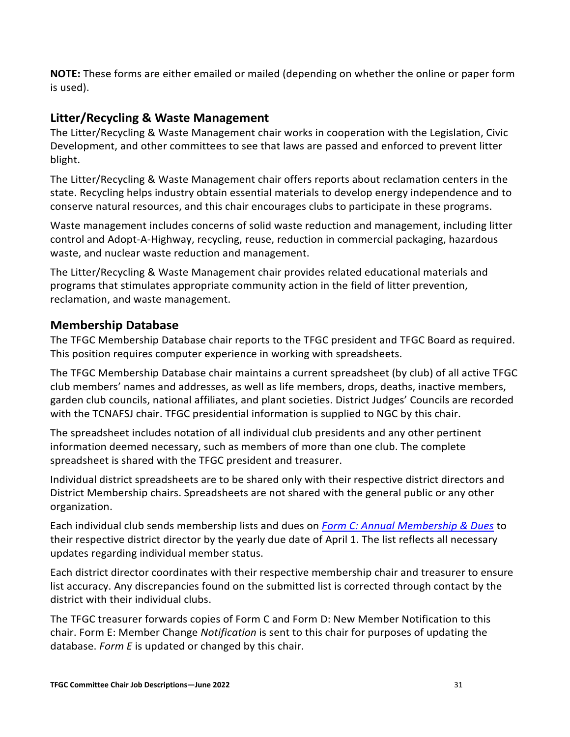**NOTE:** These forms are either emailed or mailed (depending on whether the online or paper form is used).

## <span id="page-31-0"></span>**Litter/Recycling & Waste Management**

The Litter/Recycling & Waste Management chair works in cooperation with the Legislation, Civic Development, and other committees to see that laws are passed and enforced to prevent litter blight.

The Litter/Recycling & Waste Management chair offers reports about reclamation centers in the state. Recycling helps industry obtain essential materials to develop energy independence and to conserve natural resources, and this chair encourages clubs to participate in these programs.

Waste management includes concerns of solid waste reduction and management, including litter control and Adopt-A-Highway, recycling, reuse, reduction in commercial packaging, hazardous waste, and nuclear waste reduction and management.

The Litter/Recycling & Waste Management chair provides related educational materials and programs that stimulates appropriate community action in the field of litter prevention, reclamation, and waste management.

## <span id="page-31-1"></span>**Membership Database**

The TFGC Membership Database chair reports to the TFGC president and TFGC Board as required. This position requires computer experience in working with spreadsheets.

The TFGC Membership Database chair maintains a current spreadsheet (by club) of all active TFGC club members' names and addresses, as well as life members, drops, deaths, inactive members, garden club councils, national affiliates, and plant societies. District Judges' Councils are recorded with the TCNAFSJ chair. TFGC presidential information is supplied to NGC by this chair.

The spreadsheet includes notation of all individual club presidents and any other pertinent information deemed necessary, such as members of more than one club. The complete spreadsheet is shared with the TFGC president and treasurer.

Individual district spreadsheets are to be shared only with their respective district directors and District Membership chairs. Spreadsheets are not shared with the general public or any other organization.

Each individual club sends membership lists and dues on *[Form C: Annual Membership](https://www.tngardenclubs.org/wp-content/uploads/2021/03/Form-C-New-Membership-Dues.pdf) & Dues* to their respective district director by the yearly due date of April 1. The list reflects all necessary updates regarding individual member status.

Each district director coordinates with their respective membership chair and treasurer to ensure list accuracy. Any discrepancies found on the submitted list is corrected through contact by the district with their individual clubs.

The TFGC treasurer forwards copies of Form C and Form D: New Member Notification to this chair. Form E: Member Change *Notification* is sent to this chair for purposes of updating the database. *Form E* is updated or changed by this chair.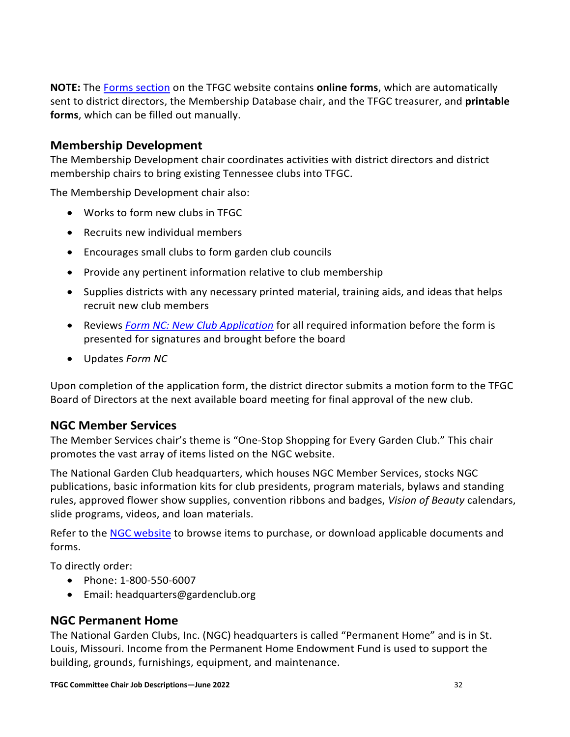**NOTE:** The [Forms section](https://www.tngardenclubs.org/forms/) on the TFGC website contains **online forms**, which are automatically sent to district directors, the Membership Database chair, and the TFGC treasurer, and **printable forms**, which can be filled out manually.

#### <span id="page-32-0"></span>**Membership Development**

The Membership Development chair coordinates activities with district directors and district membership chairs to bring existing Tennessee clubs into TFGC.

The Membership Development chair also:

- Works to form new clubs in TFGC
- Recruits new individual members
- Encourages small clubs to form garden club councils
- Provide any pertinent information relative to club membership
- Supplies districts with any necessary printed material, training aids, and ideas that helps recruit new club members
- Reviews *Form [NC: New Club Application](https://www.tngardenclubs.org/forms/)* for all required information before the form is presented for signatures and brought before the board
- Updates *Form NC*

Upon completion of the application form, the district director submits a motion form to the TFGC Board of Directors at the next available board meeting for final approval of the new club.

## <span id="page-32-1"></span>**NGC Member Services**

The Member Services chair's theme is "One-Stop Shopping for Every Garden Club." This chair promotes the vast array of items listed on the NGC website.

The National Garden Club headquarters, which houses NGC Member Services, stocks NGC publications, basic information kits for club presidents, program materials, bylaws and standing rules, approved flower show supplies, convention ribbons and badges, *Vision of Beauty* calendars, slide programs, videos, and loan materials.

Refer to the [NGC website](http://www.gardenclub.org/) to browse items to purchase, or download applicable documents and forms.

To directly order:

- Phone: 1-800-550-6007
- Email: [headquarters@gardenclub.org](mailto:headquarters@gardenclub.org)

## <span id="page-32-2"></span>**NGC Permanent Home**

The National Garden Clubs, Inc. (NGC) headquarters is called "Permanent Home" and is in St. Louis, Missouri. Income from the Permanent Home Endowment Fund is used to support the building, grounds, furnishings, equipment, and maintenance.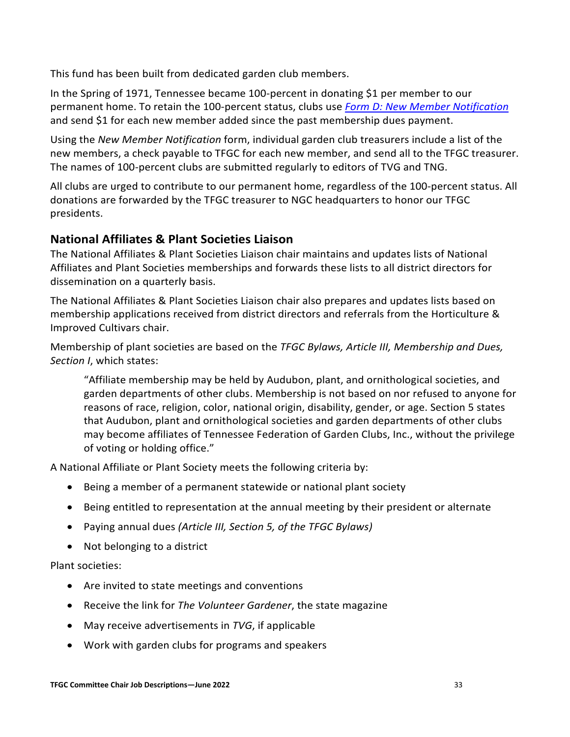This fund has been built from dedicated garden club members.

In the Spring of 1971, Tennessee became 100-percent in donating \$1 per member to our permanent home. To retain the 100-percent status, clubs use *[Form D: New Member Notification](https://www.tngardenclubs.org/wp-content/uploads/2022/01/Form-D-New-Member-Notification-1.pdf)* and send \$1 for each new member added since the past membership dues payment.

Using the *New Member Notification* form, individual garden club treasurers include a list of the new members, a check payable to TFGC for each new member, and send all to the TFGC treasurer. The names of 100-percent clubs are submitted regularly to editors of TVG and TNG.

All clubs are urged to contribute to our permanent home, regardless of the 100-percent status. All donations are forwarded by the TFGC treasurer to NGC headquarters to honor our TFGC presidents.

## <span id="page-33-0"></span>**National Affiliates & Plant Societies Liaison**

The National Affiliates & Plant Societies Liaison chair maintains and updates lists of National Affiliates and Plant Societies memberships and forwards these lists to all district directors for dissemination on a quarterly basis.

The National Affiliates & Plant Societies Liaison chair also prepares and updates lists based on membership applications received from district directors and referrals from the Horticulture & Improved Cultivars chair.

Membership of plant societies are based on the *TFGC Bylaws, Article III, Membership and Dues, Section I*, which states:

"Affiliate membership may be held by Audubon, plant, and ornithological societies, and garden departments of other clubs. Membership is not based on nor refused to anyone for reasons of race, religion, color, national origin, disability, gender, or age. Section 5 states that Audubon, plant and ornithological societies and garden departments of other clubs may become affiliates of Tennessee Federation of Garden Clubs, Inc., without the privilege of voting or holding office."

A National Affiliate or Plant Society meets the following criteria by:

- Being a member of a permanent statewide or national plant society
- Being entitled to representation at the annual meeting by their president or alternate
- Paying annual dues *(Article III, Section 5, of the TFGC Bylaws)*
- Not belonging to a district

Plant societies:

- Are invited to state meetings and conventions
- Receive the link for *The Volunteer Gardener*, the state magazine
- May receive advertisements in *TVG*, if applicable
- Work with garden clubs for programs and speakers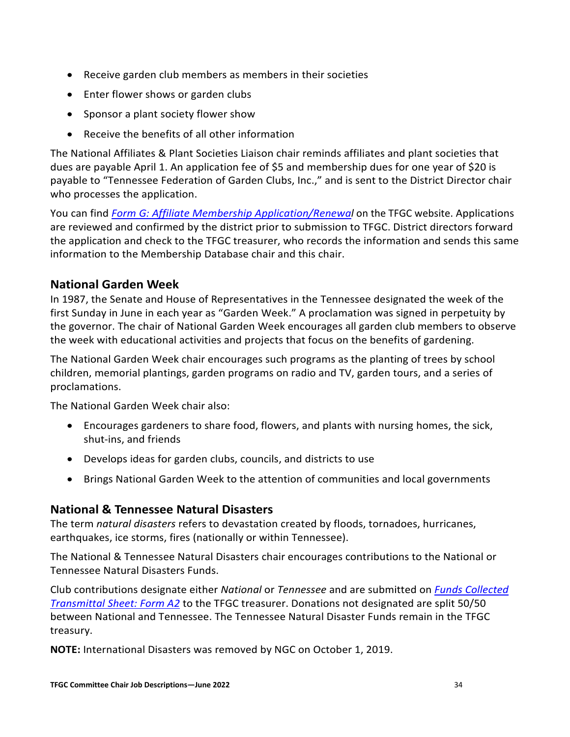- Receive garden club members as members in their societies
- Enter flower shows or garden clubs
- Sponsor a plant society flower show
- Receive the benefits of all other information

The National Affiliates & Plant Societies Liaison chair reminds affiliates and plant societies that dues are payable April 1. An application fee of \$5 and membership dues for one year of \$20 is payable to "Tennessee Federation of Garden Clubs, Inc.," and is sent to the District Director chair who processes the application.

You can find *Form G: Affiliate Membership [Application/Renewal](https://www.tngardenclubs.org/wp-content/uploads/2022/01/Form-G-TGC-Affiliate-Membership-Appl.pdf)* on the TFGC website. Applications are reviewed and confirmed by the district prior to submission to TFGC. District directors forward the application and check to the TFGC treasurer, who records the information and sends this same information to the Membership Database chair and this chair.

## <span id="page-34-0"></span>**National Garden Week**

In 1987, the Senate and House of Representatives in the Tennessee designated the week of the first Sunday in June in each year as "Garden Week." A proclamation was signed in perpetuity by the governor. The chair of National Garden Week encourages all garden club members to observe the week with educational activities and projects that focus on the benefits of gardening.

The National Garden Week chair encourages such programs as the planting of trees by school children, memorial plantings, garden programs on radio and TV, garden tours, and a series of proclamations.

The National Garden Week chair also:

- Encourages gardeners to share food, flowers, and plants with nursing homes, the sick, shut-ins, and friends
- Develops ideas for garden clubs, councils, and districts to use
- Brings National Garden Week to the attention of communities and local governments

## <span id="page-34-1"></span>**National & Tennessee Natural Disasters**

The term *natural disasters* refers to devastation created by floods, tornadoes, hurricanes, earthquakes, ice storms, fires (nationally or within Tennessee).

The National & Tennessee Natural Disasters chair encourages contributions to the National or Tennessee Natural Disasters Funds.

Club contributions designate either *National* or *Tennessee* and are submitted on *[Funds Collected](https://www.tngardenclubs.org/wp-content/uploads/2022/01/A2-Funds-Collected-Transmittal-Sheet-1.pdf) [Transmittal Sheet: Form A2](https://www.tngardenclubs.org/wp-content/uploads/2022/01/A2-Funds-Collected-Transmittal-Sheet-1.pdf)* to the TFGC treasurer. Donations not designated are split 50/50 between National and Tennessee. The Tennessee Natural Disaster Funds remain in the TFGC treasury.

**NOTE:** International Disasters was removed by NGC on October 1, 2019.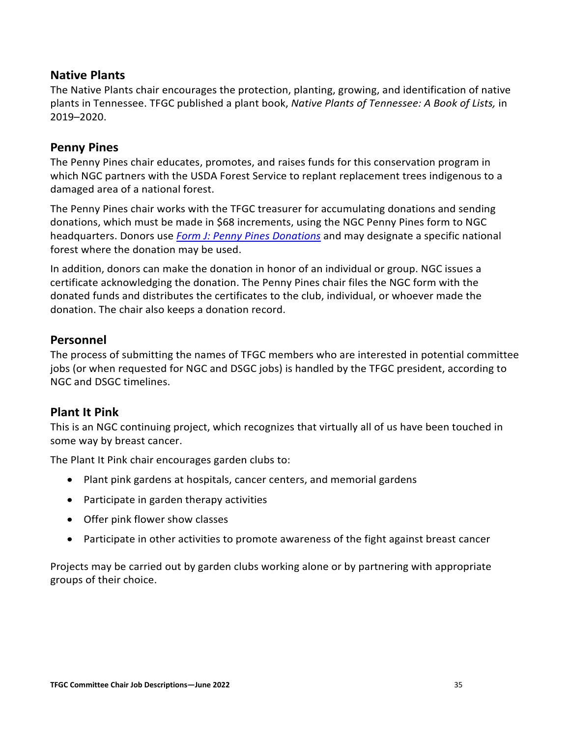#### <span id="page-35-0"></span>**Native Plants**

The Native Plants chair encourages the protection, planting, growing, and identification of native plants in Tennessee. TFGC published a plant book, *Native Plants of Tennessee: A Book of Lists,* in 2019–2020.

#### <span id="page-35-1"></span>**Penny Pines**

The Penny Pines chair educates, promotes, and raises funds for this conservation program in which NGC partners with the USDA Forest Service to replant replacement trees indigenous to a damaged area of a national forest.

The Penny Pines chair works with the TFGC treasurer for accumulating donations and sending donations, which must be made in \$68 increments, using the NGC Penny Pines form to NGC headquarters. Donors use *[Form J: Penny Pines Donations](https://www.tngardenclubs.org/wp-content/uploads/2022/01/Form-J-TFGC-Penny-Pines-Form-1.pdf)* and may designate a specific national forest where the donation may be used.

In addition, donors can make the donation in honor of an individual or group. NGC issues a certificate acknowledging the donation. The Penny Pines chair files the NGC form with the donated funds and distributes the certificates to the club, individual, or whoever made the donation. The chair also keeps a donation record.

#### <span id="page-35-2"></span>**Personnel**

The process of submitting the names of TFGC members who are interested in potential committee jobs (or when requested for NGC and DSGC jobs) is handled by the TFGC president, according to NGC and DSGC timelines.

#### <span id="page-35-3"></span>**Plant It Pink**

This is an NGC continuing project, which recognizes that virtually all of us have been touched in some way by breast cancer.

The Plant It Pink chair encourages garden clubs to:

- Plant pink gardens at hospitals, cancer centers, and memorial gardens
- Participate in garden therapy activities
- Offer pink flower show classes
- Participate in other activities to promote awareness of the fight against breast cancer

Projects may be carried out by garden clubs working alone or by partnering with appropriate groups of their choice.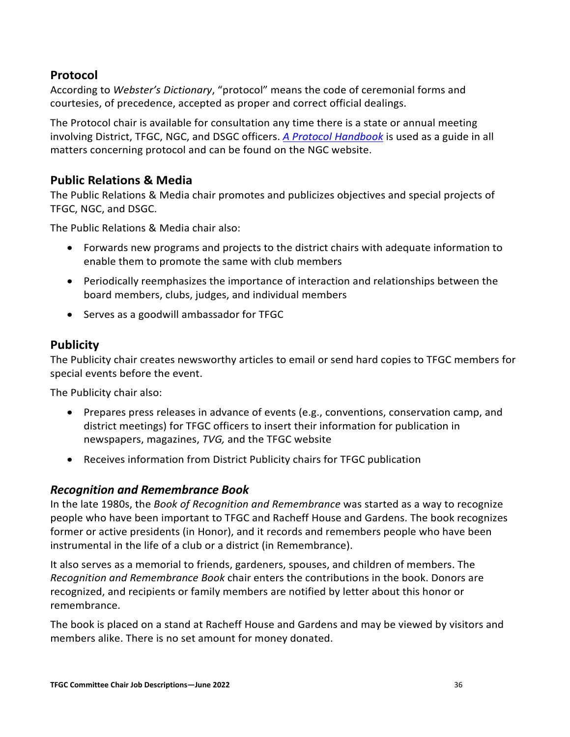## <span id="page-36-0"></span>**Protocol**

According to *Webster's Dictionary*, "protocol" means the code of ceremonial forms and courtesies, of precedence, accepted as proper and correct official dealings.

The Protocol chair is available for consultation any time there is a state or annual meeting involving District, TFGC, NGC, and DSGC officers. *A [Protocol Handbook](https://www.gardenclub.org/sites/default/files/2020-06/ngc-protocol-handbook-2016.pdf)* is used as a guide in all matters concerning protocol and can be found on the NGC website.

## <span id="page-36-1"></span>**Public Relations & Media**

The Public Relations & Media chair promotes and publicizes objectives and special projects of TFGC, NGC, and DSGC.

The Public Relations & Media chair also:

- Forwards new programs and projects to the district chairs with adequate information to enable them to promote the same with club members
- Periodically reemphasizes the importance of interaction and relationships between the board members, clubs, judges, and individual members
- Serves as a goodwill ambassador for TFGC

## <span id="page-36-2"></span>**Publicity**

The Publicity chair creates newsworthy articles to email or send hard copies to TFGC members for special events before the event.

The Publicity chair also:

- Prepares press releases in advance of events (e.g., conventions, conservation camp, and district meetings) for TFGC officers to insert their information for publication in newspapers, magazines, *TVG,* and the TFGC website
- Receives information from District Publicity chairs for TFGC publication

#### <span id="page-36-3"></span>*Recognition and Remembrance Book*

In the late 1980s, the *Book of Recognition and Remembrance* was started as a way to recognize people who have been important to TFGC and Racheff House and Gardens. The book recognizes former or active presidents (in Honor), and it records and remembers people who have been instrumental in the life of a club or a district (in Remembrance).

It also serves as a memorial to friends, gardeners, spouses, and children of members. The *Recognition and Remembrance Book* chair enters the contributions in the book. Donors are recognized, and recipients or family members are notified by letter about this honor or remembrance.

The book is placed on a stand at Racheff House and Gardens and may be viewed by visitors and members alike. There is no set amount for money donated.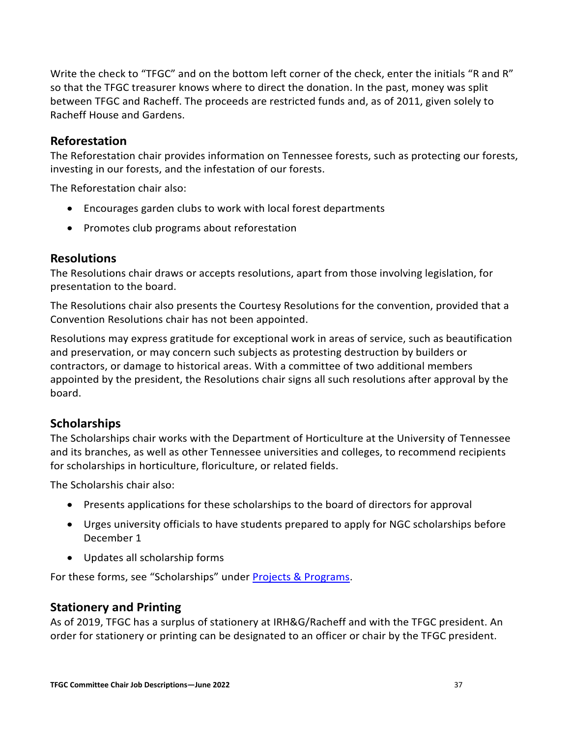Write the check to "TFGC" and on the bottom left corner of the check, enter the initials "R and R" so that the TFGC treasurer knows where to direct the donation. In the past, money was split between TFGC and Racheff. The proceeds are restricted funds and, as of 2011, given solely to Racheff House and Gardens.

#### <span id="page-37-0"></span>**Reforestation**

The Reforestation chair provides information on Tennessee forests, such as protecting our forests, investing in our forests, and the infestation of our forests.

The Reforestation chair also:

- Encourages garden clubs to work with local forest departments
- Promotes club programs about reforestation

#### <span id="page-37-1"></span>**Resolutions**

The Resolutions chair draws or accepts resolutions, apart from those involving legislation, for presentation to the board.

The Resolutions chair also presents the Courtesy Resolutions for the convention, provided that a Convention Resolutions chair has not been appointed.

Resolutions may express gratitude for exceptional work in areas of service, such as beautification and preservation, or may concern such subjects as protesting destruction by builders or contractors, or damage to historical areas. With a committee of two additional members appointed by the president, the Resolutions chair signs all such resolutions after approval by the board.

## <span id="page-37-2"></span>**Scholarships**

The Scholarships chair works with the Department of Horticulture at the University of Tennessee and its branches, as well as other Tennessee universities and colleges, to recommend recipients for scholarships in horticulture, floriculture, or related fields.

The Scholarshis chair also:

- Presents applications for these scholarships to the board of directors for approval
- Urges university officials to have students prepared to apply for NGC scholarships before December 1
- Updates all scholarship forms

For these forms, see "Scholarships" under **Projects & Programs**.

## <span id="page-37-3"></span>**Stationery and Printing**

As of 2019, TFGC has a surplus of stationery at IRH&G/Racheff and with the TFGC president. An order for stationery or printing can be designated to an officer or chair by the TFGC president.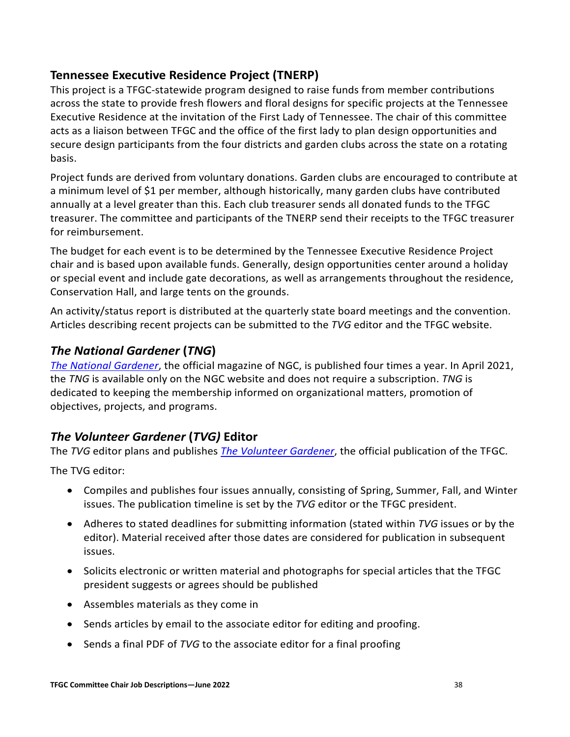## <span id="page-38-0"></span>**Tennessee Executive Residence Project (TNERP)**

This project is a TFGC-statewide program designed to raise funds from member contributions across the state to provide fresh flowers and floral designs for specific projects at the Tennessee Executive Residence at the invitation of the First Lady of Tennessee. The chair of this committee acts as a liaison between TFGC and the office of the first lady to plan design opportunities and secure design participants from the four districts and garden clubs across the state on a rotating basis.

Project funds are derived from voluntary donations. Garden clubs are encouraged to contribute at a minimum level of \$1 per member, although historically, many garden clubs have contributed annually at a level greater than this. Each club treasurer sends all donated funds to the TFGC treasurer. The committee and participants of the TNERP send their receipts to the TFGC treasurer for reimbursement.

The budget for each event is to be determined by the Tennessee Executive Residence Project chair and is based upon available funds. Generally, design opportunities center around a holiday or special event and include gate decorations, as well as arrangements throughout the residence, Conservation Hall, and large tents on the grounds.

An activity/status report is distributed at the quarterly state board meetings and the convention. Articles describing recent projects can be submitted to the *TVG* editor and the TFGC website.

## <span id="page-38-1"></span>*The National Gardener* **(***TNG***)**

*[The National Gardener](https://www.gardenclub.org/national-gardener)*, the official magazine of NGC, is published four times a year. In April 2021, the *TNG* is available only on the NGC website and does not require a subscription. *TNG* is dedicated to keeping the membership informed on organizational matters, promotion of objectives, projects, and programs.

## <span id="page-38-2"></span>*The Volunteer Gardener* **(***TVG)* **Editor**

The *TVG* editor plans and publishes *[The Volunteer Gardener](https://www.tngardenclubs.org/volunteer-gardener/)*, the official publication of the TFGC.

The TVG editor:

- Compiles and publishes four issues annually, consisting of Spring, Summer, Fall, and Winter issues. The publication timeline is set by the *TVG* editor or the TFGC president.
- Adheres to stated deadlines for submitting information (stated within *TVG* issues or by the editor). Material received after those dates are considered for publication in subsequent issues.
- Solicits electronic or written material and photographs for special articles that the TFGC president suggests or agrees should be published
- Assembles materials as they come in
- Sends articles by email to the associate editor for editing and proofing.
- Sends a final PDF of *TVG* to the associate editor for a final proofing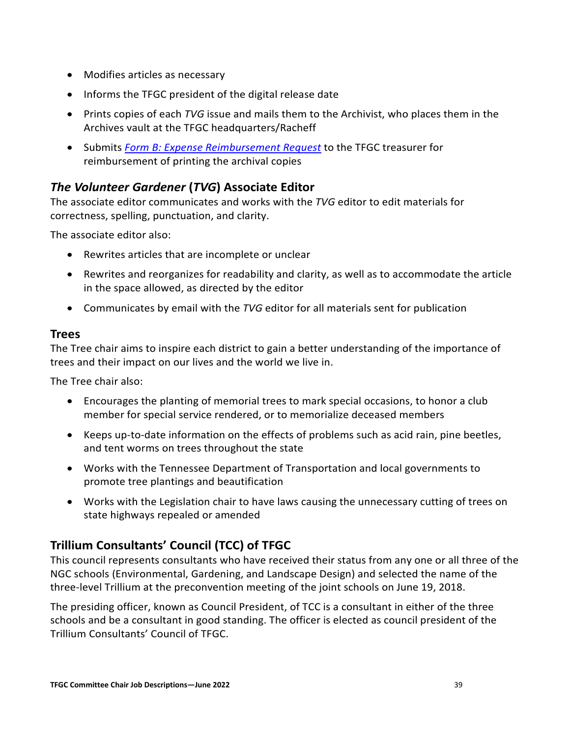- Modifies articles as necessary
- Informs the TFGC president of the digital release date
- Prints copies of each *TVG* issue and mails them to the Archivist, who places them in the Archives vault at the TFGC headquarters/Racheff
- Submits *[Form B: Expense Reimbursement Request](https://www.tngardenclubs.org/wp-content/uploads/2022/01/Form-B-Expense-Reimbursement-Request-1.pdf)* to the TFGC treasurer for reimbursement of printing the archival copies

## <span id="page-39-0"></span>*The Volunteer Gardener* **(***TVG***) Associate Editor**

The associate editor communicates and works with the *TVG* editor to edit materials for correctness, spelling, punctuation, and clarity.

The associate editor also:

- Rewrites articles that are incomplete or unclear
- Rewrites and reorganizes for readability and clarity, as well as to accommodate the article in the space allowed, as directed by the editor
- Communicates by email with the *TVG* editor for all materials sent for publication

#### <span id="page-39-1"></span>**Trees**

The Tree chair aims to inspire each district to gain a better understanding of the importance of trees and their impact on our lives and the world we live in.

The Tree chair also:

- Encourages the planting of memorial trees to mark special occasions, to honor a club member for special service rendered, or to memorialize deceased members
- Keeps up-to-date information on the effects of problems such as acid rain, pine beetles, and tent worms on trees throughout the state
- Works with the Tennessee Department of Transportation and local governments to promote tree plantings and beautification
- Works with the Legislation chair to have laws causing the unnecessary cutting of trees on state highways repealed or amended

## <span id="page-39-2"></span>**Trillium Consultants' Council (TCC) of TFGC**

This council represents consultants who have received their status from any one or all three of the NGC schools (Environmental, Gardening, and Landscape Design) and selected the name of the three-level Trillium at the preconvention meeting of the joint schools on June 19, 2018.

The presiding officer, known as Council President, of TCC is a consultant in either of the three schools and be a consultant in good standing. The officer is elected as council president of the Trillium Consultants' Council of TFGC.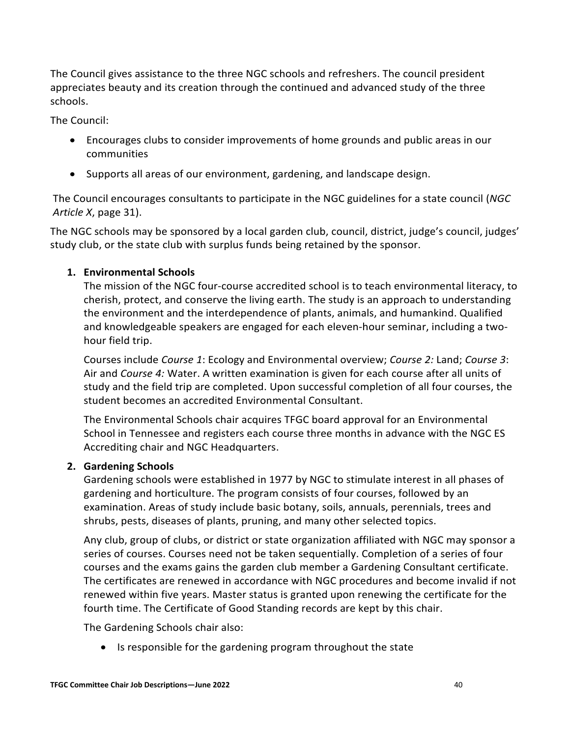The Council gives assistance to the three NGC schools and refreshers. The council president appreciates beauty and its creation through the continued and advanced study of the three schools.

The Council:

- Encourages clubs to consider improvements of home grounds and public areas in our communities
- Supports all areas of our environment, gardening, and landscape design.

The Council encourages consultants to participate in the NGC guidelines for a state council (*NGC Article X*, page 31).

The NGC schools may be sponsored by a local garden club, council, district, judge's council, judges' study club, or the state club with surplus funds being retained by the sponsor.

#### **1. Environmental Schools**

The mission of the NGC four-course accredited school is to teach environmental literacy, to cherish, protect, and conserve the living earth. The study is an approach to understanding the environment and the interdependence of plants, animals, and humankind. Qualified and knowledgeable speakers are engaged for each eleven-hour seminar, including a twohour field trip.

Courses include *Course 1*: Ecology and Environmental overview; *Course 2:* Land; *Course 3*: Air and *Course 4:* Water. A written examination is given for each course after all units of study and the field trip are completed. Upon successful completion of all four courses, the student becomes an accredited Environmental Consultant.

The Environmental Schools chair acquires TFGC board approval for an Environmental School in Tennessee and registers each course three months in advance with the NGC ES Accrediting chair and NGC Headquarters.

#### **2. Gardening Schools**

Gardening schools were established in 1977 by NGC to stimulate interest in all phases of gardening and horticulture. The program consists of four courses, followed by an examination. Areas of study include basic botany, soils, annuals, perennials, trees and shrubs, pests, diseases of plants, pruning, and many other selected topics.

Any club, group of clubs, or district or state organization affiliated with NGC may sponsor a series of courses. Courses need not be taken sequentially. Completion of a series of four courses and the exams gains the garden club member a Gardening Consultant certificate. The certificates are renewed in accordance with NGC procedures and become invalid if not renewed within five years. Master status is granted upon renewing the certificate for the fourth time. The Certificate of Good Standing records are kept by this chair.

The Gardening Schools chair also:

• Is responsible for the gardening program throughout the state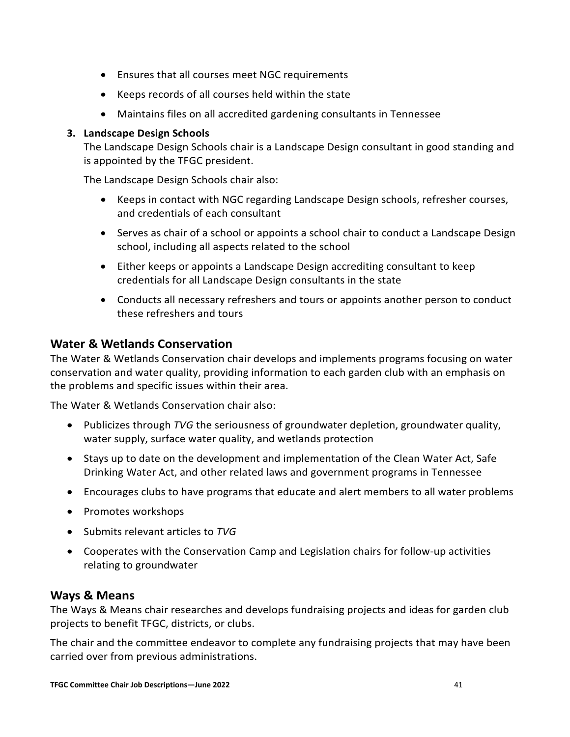- Ensures that all courses meet NGC requirements
- Keeps records of all courses held within the state
- Maintains files on all accredited gardening consultants in Tennessee

#### **3. Landscape Design Schools**

The Landscape Design Schools chair is a Landscape Design consultant in good standing and is appointed by the TFGC president.

The Landscape Design Schools chair also:

- Keeps in contact with NGC regarding Landscape Design schools, refresher courses, and credentials of each consultant
- Serves as chair of a school or appoints a school chair to conduct a Landscape Design school, including all aspects related to the school
- Either keeps or appoints a Landscape Design accrediting consultant to keep credentials for all Landscape Design consultants in the state
- Conducts all necessary refreshers and tours or appoints another person to conduct these refreshers and tours

## <span id="page-41-0"></span>**Water & Wetlands Conservation**

The Water & Wetlands Conservation chair develops and implements programs focusing on water conservation and water quality, providing information to each garden club with an emphasis on the problems and specific issues within their area.

The Water & Wetlands Conservation chair also:

- Publicizes through *TVG* the seriousness of groundwater depletion, groundwater quality, water supply, surface water quality, and wetlands protection
- Stays up to date on the development and implementation of the Clean Water Act, Safe Drinking Water Act, and other related laws and government programs in Tennessee
- Encourages clubs to have programs that educate and alert members to all water problems
- Promotes workshops
- Submits relevant articles to *TVG*
- Cooperates with the Conservation Camp and Legislation chairs for follow-up activities relating to groundwater

## <span id="page-41-1"></span>**Ways & Means**

The Ways & Means chair researches and develops fundraising projects and ideas for garden club projects to benefit TFGC, districts, or clubs.

The chair and the committee endeavor to complete any fundraising projects that may have been carried over from previous administrations.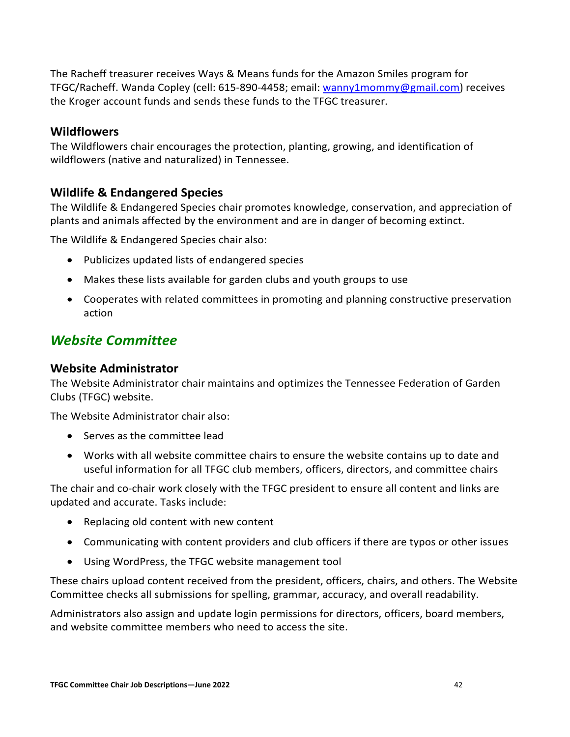The Racheff treasurer receives Ways & Means funds for the Amazon Smiles program for TFGC/Racheff. Wanda Copley (cell: 615-890-4458; email: [wanny1mommy@gmail.com\)](mailto:wanny1mommy@gmail.com) receives the Kroger account funds and sends these funds to the TFGC treasurer.

## <span id="page-42-0"></span>**Wildflowers**

The Wildflowers chair encourages the protection, planting, growing, and identification of wildflowers (native and naturalized) in Tennessee.

## <span id="page-42-1"></span>**Wildlife & Endangered Species**

The Wildlife & Endangered Species chair promotes knowledge, conservation, and appreciation of plants and animals affected by the environment and are in danger of becoming extinct.

The Wildlife & Endangered Species chair also:

- Publicizes updated lists of endangered species
- Makes these lists available for garden clubs and youth groups to use
- Cooperates with related committees in promoting and planning constructive preservation action

## <span id="page-42-2"></span>*Website Committee*

#### <span id="page-42-3"></span>**Website Administrator**

The Website Administrator chair maintains and optimizes the Tennessee Federation of Garden Clubs (TFGC) website.

The Website Administrator chair also:

- Serves as the committee lead
- Works with all website committee chairs to ensure the website contains up to date and useful information for all TFGC club members, officers, directors, and committee chairs

The chair and co-chair work closely with the TFGC president to ensure all content and links are updated and accurate. Tasks include:

- Replacing old content with new content
- Communicating with content providers and club officers if there are typos or other issues
- Using WordPress, the TFGC website management tool

These chairs upload content received from the president, officers, chairs, and others. The Website Committee checks all submissions for spelling, grammar, accuracy, and overall readability.

Administrators also assign and update login permissions for directors, officers, board members, and website committee members who need to access the site.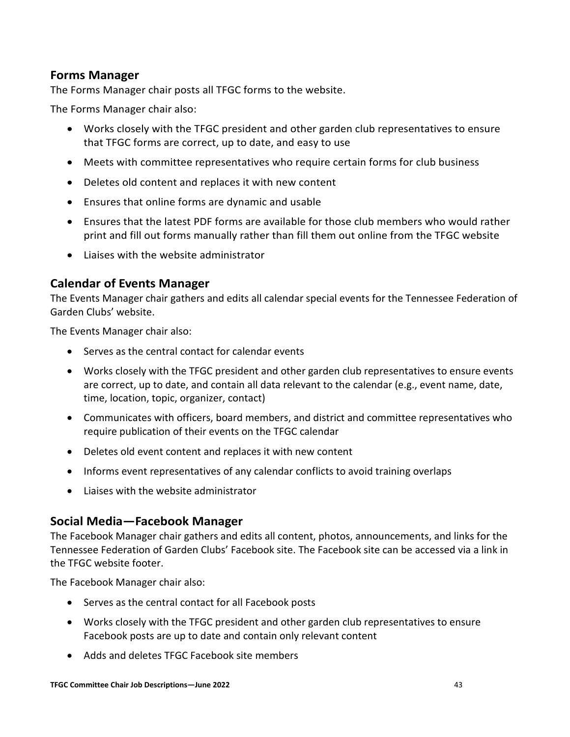#### <span id="page-43-0"></span>**Forms Manager**

The Forms Manager chair posts all TFGC forms to the website.

The Forms Manager chair also:

- Works closely with the TFGC president and other garden club representatives to ensure that TFGC forms are correct, up to date, and easy to use
- Meets with committee representatives who require certain forms for club business
- Deletes old content and replaces it with new content
- Ensures that online forms are dynamic and usable
- Ensures that the latest PDF forms are available for those club members who would rather print and fill out forms manually rather than fill them out online from the TFGC website
- Liaises with the website administrator

#### <span id="page-43-1"></span>**Calendar of Events Manager**

The Events Manager chair gathers and edits all calendar special events for the Tennessee Federation of Garden Clubs' website.

The Events Manager chair also:

- Serves as the central contact for calendar events
- Works closely with the TFGC president and other garden club representatives to ensure events are correct, up to date, and contain all data relevant to the calendar (e.g., event name, date, time, location, topic, organizer, contact)
- Communicates with officers, board members, and district and committee representatives who require publication of their events on the TFGC calendar
- Deletes old event content and replaces it with new content
- Informs event representatives of any calendar conflicts to avoid training overlaps
- Liaises with the website administrator

#### <span id="page-43-2"></span>**Social Media—Facebook Manager**

The Facebook Manager chair gathers and edits all content, photos, announcements, and links for the Tennessee Federation of Garden Clubs' Facebook site. The Facebook site can be accessed via a link in the TFGC website footer.

The Facebook Manager chair also:

- Serves as the central contact for all Facebook posts
- Works closely with the TFGC president and other garden club representatives to ensure Facebook posts are up to date and contain only relevant content
- Adds and deletes TFGC Facebook site members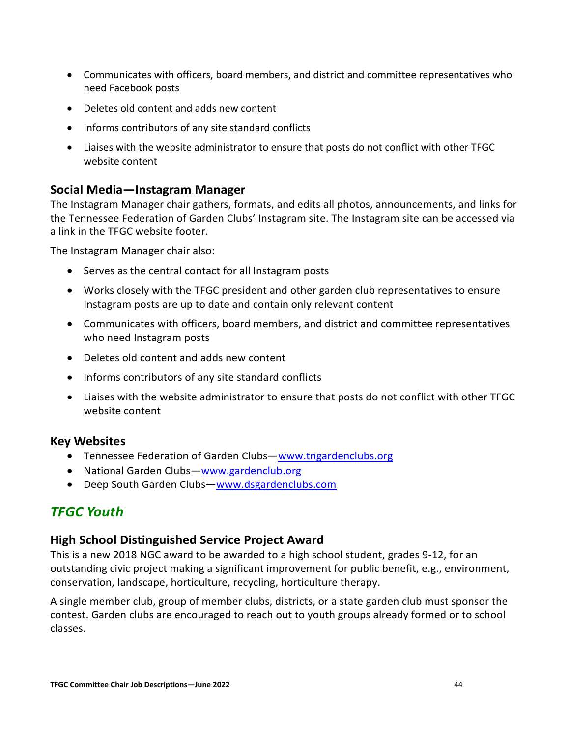- Communicates with officers, board members, and district and committee representatives who need Facebook posts
- Deletes old content and adds new content
- Informs contributors of any site standard conflicts
- Liaises with the website administrator to ensure that posts do not conflict with other TFGC website content

## <span id="page-44-0"></span>**Social Media—Instagram Manager**

The Instagram Manager chair gathers, formats, and edits all photos, announcements, and links for the Tennessee Federation of Garden Clubs' Instagram site. The Instagram site can be accessed via a link in the TFGC website footer.

The Instagram Manager chair also:

- Serves as the central contact for all Instagram posts
- Works closely with the TFGC president and other garden club representatives to ensure Instagram posts are up to date and contain only relevant content
- Communicates with officers, board members, and district and committee representatives who need Instagram posts
- Deletes old content and adds new content
- Informs contributors of any site standard conflicts
- Liaises with the website administrator to ensure that posts do not conflict with other TFGC website content

## <span id="page-44-1"></span>**Key Websites**

- Tennessee Federation of Garden Clubs[—www.tngardenclubs.org](https://d.docs.live.net/b70a02ca701517bc/Documents/Gardening/Website%202021/Job%20Descriptions/Committee%20Chairs/www.tngardenclubs.org)
- National Garden Clubs[—www.gardenclub.org](http://www.gardenclub.org/)
- Deep South Garden Clubs-www.dsgardenclubs.com

## <span id="page-44-2"></span>*TFGC Youth*

## <span id="page-44-3"></span>**High School Distinguished Service Project Award**

This is a new 2018 NGC award to be awarded to a high school student, grades 9-12, for an outstanding civic project making a significant improvement for public benefit, e.g., environment, conservation, landscape, horticulture, recycling, horticulture therapy.

A single member club, group of member clubs, districts, or a state garden club must sponsor the contest. Garden clubs are encouraged to reach out to youth groups already formed or to school classes.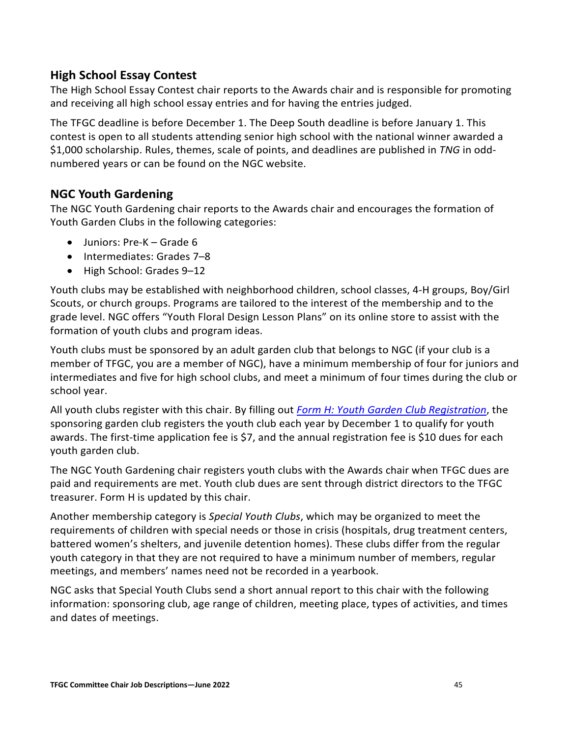## <span id="page-45-0"></span>**High School Essay Contest**

The High School Essay Contest chair reports to the Awards chair and is responsible for promoting and receiving all high school essay entries and for having the entries judged.

The TFGC deadline is before December 1. The Deep South deadline is before January 1. This contest is open to all students attending senior high school with the national winner awarded a \$1,000 scholarship. Rules, themes, scale of points, and deadlines are published in *TNG* in oddnumbered years or can be found on the NGC website.

## <span id="page-45-1"></span>**NGC Youth Gardening**

The NGC Youth Gardening chair reports to the Awards chair and encourages the formation of Youth Garden Clubs in the following categories:

- Juniors: Pre-K Grade 6
- Intermediates: Grades 7–8
- High School: Grades 9–12

Youth clubs may be established with neighborhood children, school classes, 4-H groups, Boy/Girl Scouts, or church groups. Programs are tailored to the interest of the membership and to the grade level. NGC offers "Youth Floral Design Lesson Plans" on its online store to assist with the formation of youth clubs and program ideas.

Youth clubs must be sponsored by an adult garden club that belongs to NGC (if your club is a member of TFGC, you are a member of NGC), have a minimum membership of four for juniors and intermediates and five for high school clubs, and meet a minimum of four times during the club or school year.

All youth clubs register with this chair. By filling out *[Form H: Youth Garden Club Registration](https://www.tngardenclubs.org/wp-content/uploads/2022/01/Form-H-Youth-Garden-Club.pdf)*, the sponsoring garden club registers the youth club each year by December 1 to qualify for youth awards. The first-time application fee is \$7, and the annual registration fee is \$10 dues for each youth garden club.

The NGC Youth Gardening chair registers youth clubs with the Awards chair when TFGC dues are paid and requirements are met. Youth club dues are sent through district directors to the TFGC treasurer. Form H is updated by this chair.

Another membership category is *Special Youth Clubs*, which may be organized to meet the requirements of children with special needs or those in crisis (hospitals, drug treatment centers, battered women's shelters, and juvenile detention homes). These clubs differ from the regular youth category in that they are not required to have a minimum number of members, regular meetings, and members' names need not be recorded in a yearbook.

NGC asks that Special Youth Clubs send a short annual report to this chair with the following information: sponsoring club, age range of children, meeting place, types of activities, and times and dates of meetings.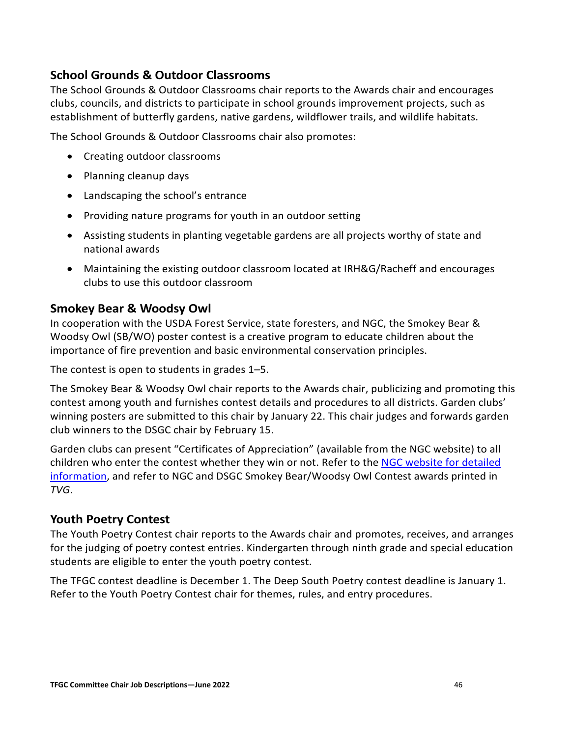## <span id="page-46-0"></span>**School Grounds & Outdoor Classrooms**

The School Grounds & Outdoor Classrooms chair reports to the Awards chair and encourages clubs, councils, and districts to participate in school grounds improvement projects, such as establishment of butterfly gardens, native gardens, wildflower trails, and wildlife habitats.

The School Grounds & Outdoor Classrooms chair also promotes:

- Creating outdoor classrooms
- Planning cleanup days
- Landscaping the school's entrance
- Providing nature programs for youth in an outdoor setting
- Assisting students in planting vegetable gardens are all projects worthy of state and national awards
- Maintaining the existing outdoor classroom located at IRH&G/Racheff and encourages clubs to use this outdoor classroom

## <span id="page-46-1"></span>**Smokey Bear & Woodsy Owl**

In cooperation with the USDA Forest Service, state foresters, and NGC, the Smokey Bear & Woodsy Owl (SB/WO) poster contest is a creative program to educate children about the importance of fire prevention and basic environmental conservation principles.

The contest is open to students in grades 1–5.

The Smokey Bear & Woodsy Owl chair reports to the Awards chair, publicizing and promoting this contest among youth and furnishes contest details and procedures to all districts. Garden clubs' winning posters are submitted to this chair by January 22. This chair judges and forwards garden club winners to the DSGC chair by February 15.

Garden clubs can present "Certificates of Appreciation" (available from the NGC website) to all children who enter the contest whether they win or not. Refer to the [NGC website for detailed](https://www.gardenclub.org/sites/default/files/2020-09/smokey-bear-contest-rules-2021.pdf)  [information,](https://www.gardenclub.org/sites/default/files/2020-09/smokey-bear-contest-rules-2021.pdf) and refer to NGC and DSGC Smokey Bear/Woodsy Owl Contest awards printed in *TVG*.

## <span id="page-46-2"></span>**Youth Poetry Contest**

The Youth Poetry Contest chair reports to the Awards chair and promotes, receives, and arranges for the judging of poetry contest entries. Kindergarten through ninth grade and special education students are eligible to enter the youth poetry contest.

The TFGC contest deadline is December 1. The Deep South Poetry contest deadline is January 1. Refer to the Youth Poetry Contest chair for themes, rules, and entry procedures.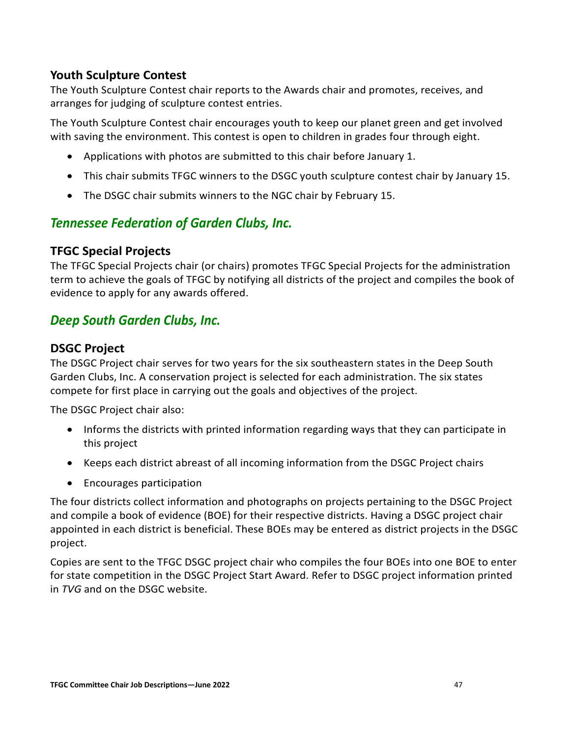## <span id="page-47-0"></span>**Youth Sculpture Contest**

The Youth Sculpture Contest chair reports to the Awards chair and promotes, receives, and arranges for judging of sculpture contest entries.

The Youth Sculpture Contest chair encourages youth to keep our planet green and get involved with saving the environment. This contest is open to children in grades four through eight.

- Applications with photos are submitted to this chair before January 1.
- This chair submits TFGC winners to the DSGC youth sculpture contest chair by January 15.
- The DSGC chair submits winners to the NGC chair by February 15.

## <span id="page-47-1"></span>*Tennessee Federation of Garden Clubs, Inc.*

## <span id="page-47-2"></span>**TFGC Special Projects**

The TFGC Special Projects chair (or chairs) promotes TFGC Special Projects for the administration term to achieve the goals of TFGC by notifying all districts of the project and compiles the book of evidence to apply for any awards offered.

## <span id="page-47-3"></span>*Deep South Garden Clubs, Inc.*

## <span id="page-47-4"></span>**DSGC Project**

The DSGC Project chair serves for two years for the six southeastern states in the Deep South Garden Clubs, Inc. A conservation project is selected for each administration. The six states compete for first place in carrying out the goals and objectives of the project.

The DSGC Project chair also:

- Informs the districts with printed information regarding ways that they can participate in this project
- Keeps each district abreast of all incoming information from the DSGC Project chairs
- Encourages participation

The four districts collect information and photographs on projects pertaining to the DSGC Project and compile a book of evidence (BOE) for their respective districts. Having a DSGC project chair appointed in each district is beneficial. These BOEs may be entered as district projects in the DSGC project.

Copies are sent to the TFGC DSGC project chair who compiles the four BOEs into one BOE to enter for state competition in the DSGC Project Start Award. Refer to DSGC project information printed in *TVG* and on the DSGC website.